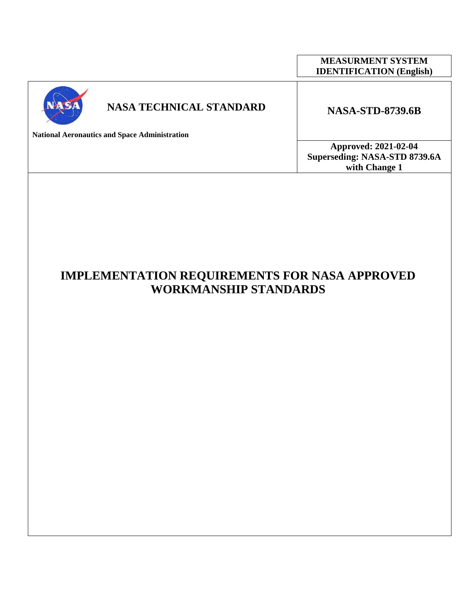|                                                      |                                | <b>MEASURMENT SYSTEM</b><br><b>IDENTIFICATION</b> (English) |
|------------------------------------------------------|--------------------------------|-------------------------------------------------------------|
|                                                      | <b>NASA TECHNICAL STANDARD</b> | <b>NASA-STD-8739.6B</b>                                     |
| <b>National Aeronautics and Space Administration</b> |                                |                                                             |

**Approved: 2021-02-04 Superseding: NASA-STD 8739.6A with Change 1**

**IMPLEMENTATION REQUIREMENTS FOR NASA APPROVED WORKMANSHIP STANDARDS**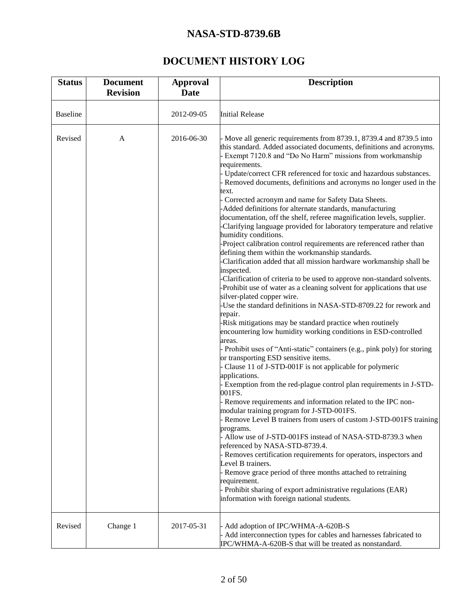# **DOCUMENT HISTORY LOG**

<span id="page-1-0"></span>

| <b>Status</b>   | <b>Document</b><br><b>Revision</b> | <b>Approval</b><br><b>Date</b> | <b>Description</b>                                                                                                                                                                                                                                                                                                                                                                                                                                                                                                                                                                                                                                                                                                                                                                                                                                                                                                                                                                                                                                                                                                                                                                                                                                                                                                                                                                                                                                                                                                                                                                                                                                                                                                                                                                                                                                                                                                                                                                                                                                                                                                                                                                     |
|-----------------|------------------------------------|--------------------------------|----------------------------------------------------------------------------------------------------------------------------------------------------------------------------------------------------------------------------------------------------------------------------------------------------------------------------------------------------------------------------------------------------------------------------------------------------------------------------------------------------------------------------------------------------------------------------------------------------------------------------------------------------------------------------------------------------------------------------------------------------------------------------------------------------------------------------------------------------------------------------------------------------------------------------------------------------------------------------------------------------------------------------------------------------------------------------------------------------------------------------------------------------------------------------------------------------------------------------------------------------------------------------------------------------------------------------------------------------------------------------------------------------------------------------------------------------------------------------------------------------------------------------------------------------------------------------------------------------------------------------------------------------------------------------------------------------------------------------------------------------------------------------------------------------------------------------------------------------------------------------------------------------------------------------------------------------------------------------------------------------------------------------------------------------------------------------------------------------------------------------------------------------------------------------------------|
| <b>Baseline</b> |                                    | 2012-09-05                     | <b>Initial Release</b>                                                                                                                                                                                                                                                                                                                                                                                                                                                                                                                                                                                                                                                                                                                                                                                                                                                                                                                                                                                                                                                                                                                                                                                                                                                                                                                                                                                                                                                                                                                                                                                                                                                                                                                                                                                                                                                                                                                                                                                                                                                                                                                                                                 |
| Revised         | $\mathbf{A}$                       | 2016-06-30                     | - Move all generic requirements from 8739.1, 8739.4 and 8739.5 into<br>this standard. Added associated documents, definitions and acronyms.<br>- Exempt 7120.8 and "Do No Harm" missions from workmanship<br>requirements.<br>- Update/correct CFR referenced for toxic and hazardous substances.<br>- Removed documents, definitions and acronyms no longer used in the<br>text.<br>Corrected acronym and name for Safety Data Sheets.<br>-Added definitions for alternate standards, manufacturing<br>documentation, off the shelf, referee magnification levels, supplier.<br>-Clarifying language provided for laboratory temperature and relative<br>humidity conditions.<br>-Project calibration control requirements are referenced rather than<br>defining them within the workmanship standards.<br>-Clarification added that all mission hardware workmanship shall be<br>inspected.<br>-Clarification of criteria to be used to approve non-standard solvents.<br>-Prohibit use of water as a cleaning solvent for applications that use<br>silver-plated copper wire.<br>-Use the standard definitions in NASA-STD-8709.22 for rework and<br>repair.<br>-Risk mitigations may be standard practice when routinely<br>encountering low humidity working conditions in ESD-controlled<br>areas.<br>- Prohibit uses of "Anti-static" containers (e.g., pink poly) for storing<br>or transporting ESD sensitive items.<br>Clause 11 of J-STD-001F is not applicable for polymeric<br>applications.<br>- Exemption from the red-plague control plan requirements in J-STD-<br>001FS.<br>- Remove requirements and information related to the IPC non-<br>modular training program for J-STD-001FS.<br>Remove Level B trainers from users of custom J-STD-001FS training<br>programs.<br>- Allow use of J-STD-001FS instead of NASA-STD-8739.3 when<br>referenced by NASA-STD-8739.4.<br>- Removes certification requirements for operators, inspectors and<br>Level B trainers.<br>- Remove grace period of three months attached to retraining<br>requirement.<br>- Prohibit sharing of export administrative regulations (EAR)<br>information with foreign national students. |
| Revised         | Change 1                           | 2017-05-31                     | Add adoption of IPC/WHMA-A-620B-S<br>Add interconnection types for cables and harnesses fabricated to<br>IPC/WHMA-A-620B-S that will be treated as nonstandard.                                                                                                                                                                                                                                                                                                                                                                                                                                                                                                                                                                                                                                                                                                                                                                                                                                                                                                                                                                                                                                                                                                                                                                                                                                                                                                                                                                                                                                                                                                                                                                                                                                                                                                                                                                                                                                                                                                                                                                                                                        |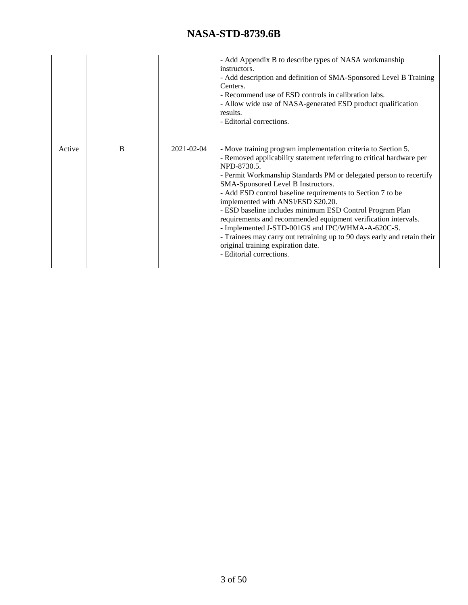|        |   |                  | Add Appendix B to describe types of NASA workmanship<br>instructors.<br>Add description and definition of SMA-Sponsored Level B Training<br>Centers.<br>Recommend use of ESD controls in calibration labs.<br>Allow wide use of NASA-generated ESD product qualification<br>results.<br>Editorial corrections.                                                                                                                                                                                                                                                                                                                                                                            |
|--------|---|------------------|-------------------------------------------------------------------------------------------------------------------------------------------------------------------------------------------------------------------------------------------------------------------------------------------------------------------------------------------------------------------------------------------------------------------------------------------------------------------------------------------------------------------------------------------------------------------------------------------------------------------------------------------------------------------------------------------|
| Active | B | $2021 - 02 - 04$ | - Move training program implementation criteria to Section 5.<br>- Removed applicability statement referring to critical hardware per<br>NPD-8730.5.<br>- Permit Workmanship Standards PM or delegated person to recertify<br>SMA-Sponsored Level B Instructors.<br>Add ESD control baseline requirements to Section 7 to be<br>implemented with ANSI/ESD S20.20.<br>ESD baseline includes minimum ESD Control Program Plan<br>requirements and recommended equipment verification intervals.<br>Implemented J-STD-001GS and IPC/WHMA-A-620C-S.<br>Trainees may carry out retraining up to 90 days early and retain their<br>original training expiration date.<br>Editorial corrections. |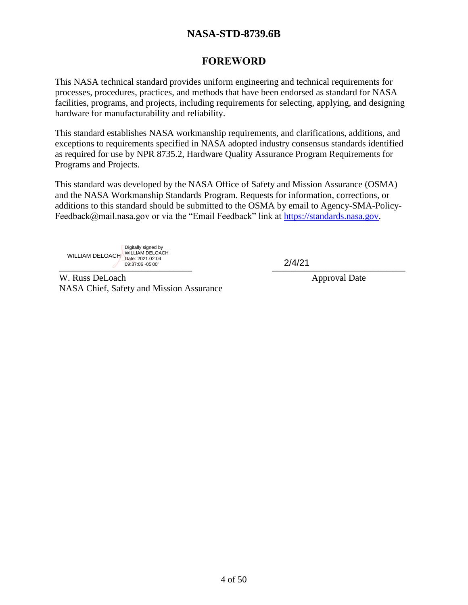# **FOREWORD**

<span id="page-3-0"></span>This NASA technical standard provides uniform engineering and technical requirements for processes, procedures, practices, and methods that have been endorsed as standard for NASA facilities, programs, and projects, including requirements for selecting, applying, and designing hardware for manufacturability and reliability.

This standard establishes NASA workmanship requirements, and clarifications, additions, and exceptions to requirements specified in NASA adopted industry consensus standards identified as required for use by NPR 8735.2, Hardware Quality Assurance Program Requirements for Programs and Projects.

This standard was developed by the NASA Office of Safety and Mission Assurance (OSMA) and the NASA Workmanship Standards Program. Requests for information, corrections, or additions to this standard should be submitted to the OSMA by email to Agency-SMA-Policy-Feedback@mail.nasa.gov or via the "Email Feedback" link at [https://standards.nasa.gov.](https://standards.nasa.gov/)

 $\overline{Z}$   $\overline{Z}$   $\overline{Z}$   $\overline{Z}$   $\overline{Z}$   $\overline{Z}$   $\overline{Z}$   $\overline{Z}$   $\overline{Z}$   $\overline{Z}$   $\overline{Z}$   $\overline{Z}$   $\overline{Z}$   $\overline{Z}$   $\overline{Z}$   $\overline{Z}$   $\overline{Z}$   $\overline{Z}$   $\overline{Z}$   $\overline{Z}$   $\overline{Z}$   $\overline{Z}$   $\overline{Z}$   $\overline{Z}$   $\overline{$ WILLIAM DELOACH Digitally signed by WILLIAM DELOACH Date: 2021.02.04 09:37:06 -05'00' 2/4/21

W. Russ DeLoach Approval Date NASA Chief, Safety and Mission Assurance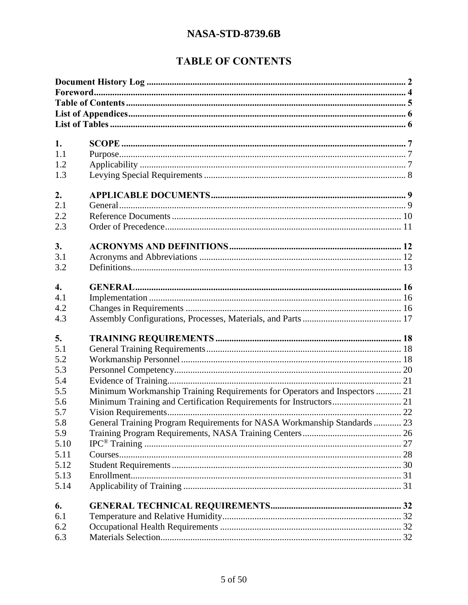# **TABLE OF CONTENTS**

<span id="page-4-0"></span>

| 1.               |                                                                            |  |  |
|------------------|----------------------------------------------------------------------------|--|--|
| 1.1              |                                                                            |  |  |
| 1.2              |                                                                            |  |  |
| 1.3              |                                                                            |  |  |
| 2.               |                                                                            |  |  |
| 2.1              |                                                                            |  |  |
| 2.2              |                                                                            |  |  |
| 2.3              |                                                                            |  |  |
|                  |                                                                            |  |  |
| 3.               |                                                                            |  |  |
| 3.1              |                                                                            |  |  |
| 3.2              |                                                                            |  |  |
| $\overline{4}$ . |                                                                            |  |  |
| 4.1              |                                                                            |  |  |
| 4.2              |                                                                            |  |  |
| 4.3              |                                                                            |  |  |
| 5.               |                                                                            |  |  |
| 5.1              |                                                                            |  |  |
| 5.2              |                                                                            |  |  |
| 5.3              |                                                                            |  |  |
| 5.4              |                                                                            |  |  |
| 5.5              | Minimum Workmanship Training Requirements for Operators and Inspectors  21 |  |  |
| 5.6              |                                                                            |  |  |
| 5.7              |                                                                            |  |  |
| 5.8              | General Training Program Requirements for NASA Workmanship Standards  23   |  |  |
| 5.9              |                                                                            |  |  |
| 5.10             |                                                                            |  |  |
| 5.11             |                                                                            |  |  |
| 5.12             |                                                                            |  |  |
| 5.13             |                                                                            |  |  |
| 5.14             |                                                                            |  |  |
| 6.               |                                                                            |  |  |
| 6.1              |                                                                            |  |  |
| 6.2              |                                                                            |  |  |
| 6.3              |                                                                            |  |  |
|                  |                                                                            |  |  |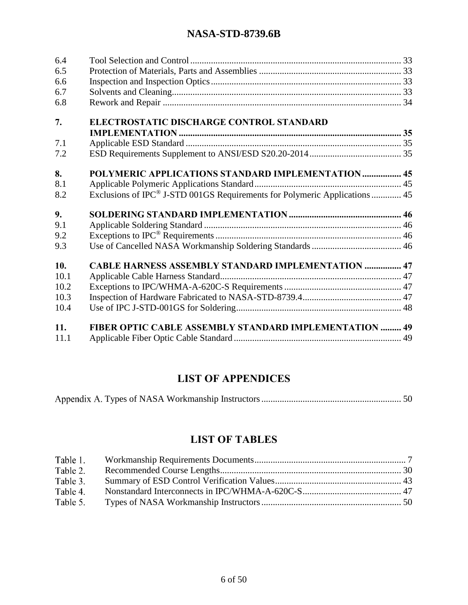| 6.4<br>6.5<br>6.6<br>6.7<br>6.8 |                                                                                        |  |
|---------------------------------|----------------------------------------------------------------------------------------|--|
| 7.                              | ELECTROSTATIC DISCHARGE CONTROL STANDARD                                               |  |
|                                 |                                                                                        |  |
| 7.1                             |                                                                                        |  |
| 7.2                             |                                                                                        |  |
| 8.                              | POLYMERIC APPLICATIONS STANDARD IMPLEMENTATION  45                                     |  |
| 8.1                             |                                                                                        |  |
| 8.2                             | Exclusions of IPC <sup>®</sup> J-STD 001GS Requirements for Polymeric Applications  45 |  |
| 9.                              |                                                                                        |  |
| 9.1                             |                                                                                        |  |
| 9.2                             |                                                                                        |  |
| 9.3                             |                                                                                        |  |
| 10.                             | <b>CABLE HARNESS ASSEMBLY STANDARD IMPLEMENTATION  47</b>                              |  |
| 10.1                            |                                                                                        |  |
| 10.2                            |                                                                                        |  |
| 10.3                            |                                                                                        |  |
| 10.4                            |                                                                                        |  |
| 11.                             | FIBER OPTIC CABLE ASSEMBLY STANDARD IMPLEMENTATION  49                                 |  |
| 11.1                            |                                                                                        |  |

# **LIST OF APPENDICES**

<span id="page-5-0"></span>

|--|--|

# **LIST OF TABLES**

<span id="page-5-1"></span>

| Table 1. |  |
|----------|--|
| Table 2. |  |
| Table 3. |  |
| Table 4. |  |
| Table 5. |  |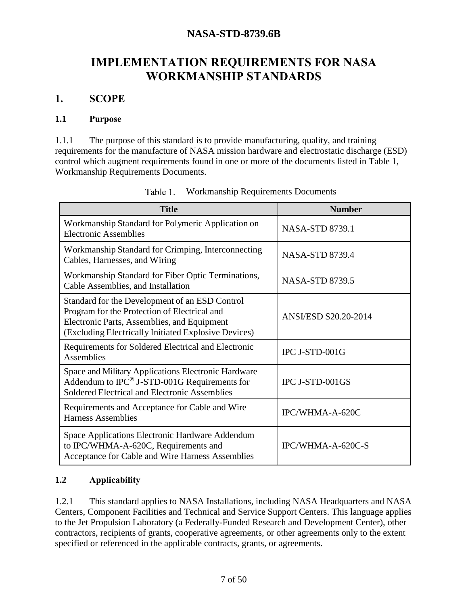# **IMPLEMENTATION REQUIREMENTS FOR NASA WORKMANSHIP STANDARDS**

### <span id="page-6-0"></span>**1. SCOPE**

#### <span id="page-6-1"></span>**1.1 Purpose**

1.1.1 The purpose of this standard is to provide manufacturing, quality, and training requirements for the manufacture of NASA mission hardware and electrostatic discharge (ESD) control which augment requirements found in one or more of the documents listed in [Table 1,](#page-6-3) Workmanship Requirements Documents.

<span id="page-6-3"></span>

| <b>Title</b>                                                                                                                                                                                          | <b>Number</b>               |
|-------------------------------------------------------------------------------------------------------------------------------------------------------------------------------------------------------|-----------------------------|
| Workmanship Standard for Polymeric Application on<br><b>Electronic Assemblies</b>                                                                                                                     | <b>NASA-STD 8739.1</b>      |
| Workmanship Standard for Crimping, Interconnecting<br>Cables, Harnesses, and Wiring                                                                                                                   | <b>NASA-STD 8739.4</b>      |
| Workmanship Standard for Fiber Optic Terminations,<br>Cable Assemblies, and Installation                                                                                                              | <b>NASA-STD 8739.5</b>      |
| Standard for the Development of an ESD Control<br>Program for the Protection of Electrical and<br>Electronic Parts, Assemblies, and Equipment<br>(Excluding Electrically Initiated Explosive Devices) | <b>ANSI/ESD S20.20-2014</b> |
| Requirements for Soldered Electrical and Electronic<br><b>Assemblies</b>                                                                                                                              | IPC J-STD-001G              |
| Space and Military Applications Electronic Hardware<br>Addendum to IPC® J-STD-001G Requirements for<br>Soldered Electrical and Electronic Assemblies                                                  | IPC J-STD-001GS             |
| Requirements and Acceptance for Cable and Wire<br><b>Harness Assemblies</b>                                                                                                                           | IPC/WHMA-A-620C             |
| Space Applications Electronic Hardware Addendum<br>to IPC/WHMA-A-620C, Requirements and<br>Acceptance for Cable and Wire Harness Assemblies                                                           | IPC/WHMA-A-620C-S           |

| Table 1. |  | <b>Workmanship Requirements Documents</b> |  |
|----------|--|-------------------------------------------|--|
|----------|--|-------------------------------------------|--|

### <span id="page-6-2"></span>**1.2 Applicability**

1.2.1 This standard applies to NASA Installations, including NASA Headquarters and NASA Centers, Component Facilities and Technical and Service Support Centers. This language applies to the Jet Propulsion Laboratory (a Federally-Funded Research and Development Center), other contractors, recipients of grants, cooperative agreements, or other agreements only to the extent specified or referenced in the applicable contracts, grants, or agreements.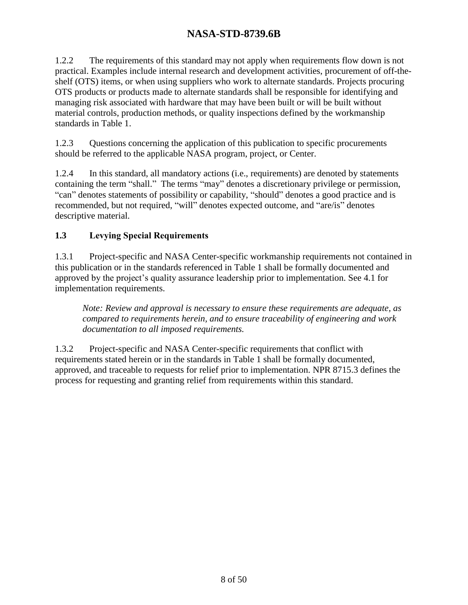1.2.2 The requirements of this standard may not apply when requirements flow down is not practical. Examples include internal research and development activities, procurement of off-theshelf (OTS) items, or when using suppliers who work to alternate standards. Projects procuring OTS products or products made to alternate standards shall be responsible for identifying and managing risk associated with hardware that may have been built or will be built without material controls, production methods, or quality inspections defined by the workmanship standards in [Table 1.](#page-6-3)

1.2.3 Questions concerning the application of this publication to specific procurements should be referred to the applicable NASA program, project, or Center.

1.2.4 In this standard, all mandatory actions (i.e., requirements) are denoted by statements containing the term "shall." The terms "may" denotes a discretionary privilege or permission, "can" denotes statements of possibility or capability, "should" denotes a good practice and is recommended, but not required, "will" denotes expected outcome, and "are/is" denotes descriptive material.

### <span id="page-7-0"></span>**1.3 Levying Special Requirements**

1.3.1 Project-specific and NASA Center-specific workmanship requirements not contained in this publication or in the standards referenced in [Table 1](#page-6-3) shall be formally documented and approved by the project's quality assurance leadership prior to implementation. See [4.1](#page-15-1) for implementation requirements.

*Note: Review and approval is necessary to ensure these requirements are adequate, as compared to requirements herein, and to ensure traceability of engineering and work documentation to all imposed requirements.* 

1.3.2 Project-specific and NASA Center-specific requirements that conflict with requirements stated herein or in the standards in [Table 1](#page-6-3) shall be formally documented, approved, and traceable to requests for relief prior to implementation. NPR 8715.3 defines the process for requesting and granting relief from requirements within this standard.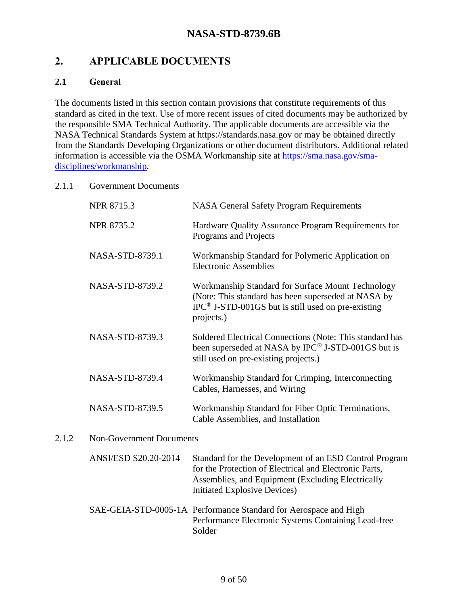# <span id="page-8-0"></span>**2. APPLICABLE DOCUMENTS**

#### <span id="page-8-1"></span>**2.1 General**

 $2.1.2$ 

The documents listed in this section contain provisions that constitute requirements of this standard as cited in the text. Use of more recent issues of cited documents may be authorized by the responsible SMA Technical Authority. The applicable documents are accessible via the NASA Technical Standards System at https://standards.nasa.gov or may be obtained directly from the Standards Developing Organizations or other document distributors. Additional related information is accessible via the OSMA Workmanship site at [https://sma.nasa.gov/sma](https://sma.nasa.gov/sma-disciplines/workmanship)[disciplines/workmanship.](https://sma.nasa.gov/sma-disciplines/workmanship)

#### 2.1.1 Government Documents

| <b>NPR 8715.3</b>               | <b>NASA General Safety Program Requirements</b>                                                                                                                                                              |  |
|---------------------------------|--------------------------------------------------------------------------------------------------------------------------------------------------------------------------------------------------------------|--|
| NPR 8735.2                      | Hardware Quality Assurance Program Requirements for<br>Programs and Projects                                                                                                                                 |  |
| NASA-STD-8739.1                 | Workmanship Standard for Polymeric Application on<br><b>Electronic Assemblies</b>                                                                                                                            |  |
| NASA-STD-8739.2                 | Workmanship Standard for Surface Mount Technology<br>(Note: This standard has been superseded at NASA by<br>$IPC^{\circledcirc}$ J-STD-001GS but is still used on pre-existing<br>projects.)                 |  |
| NASA-STD-8739.3                 | Soldered Electrical Connections (Note: This standard has<br>been superseded at NASA by IPC <sup>®</sup> J-STD-001GS but is<br>still used on pre-existing projects.)                                          |  |
| NASA-STD-8739.4                 | Workmanship Standard for Crimping, Interconnecting<br>Cables, Harnesses, and Wiring                                                                                                                          |  |
| NASA-STD-8739.5                 | Workmanship Standard for Fiber Optic Terminations,<br>Cable Assemblies, and Installation                                                                                                                     |  |
| <b>Non-Government Documents</b> |                                                                                                                                                                                                              |  |
| <b>ANSI/ESD S20.20-2014</b>     | Standard for the Development of an ESD Control Program<br>for the Protection of Electrical and Electronic Parts,<br>Assemblies, and Equipment (Excluding Electrically<br><b>Initiated Explosive Devices)</b> |  |
|                                 | SAE-GEIA-STD-0005-1A Performance Standard for Aerospace and High                                                                                                                                             |  |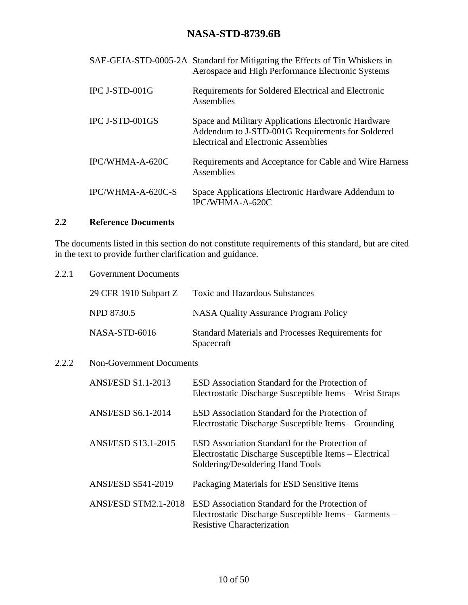|                   | SAE-GEIA-STD-0005-2A Standard for Mitigating the Effects of Tin Whiskers in<br>Aerospace and High Performance Electronic Systems                       |
|-------------------|--------------------------------------------------------------------------------------------------------------------------------------------------------|
| IPC J-STD-001G    | Requirements for Soldered Electrical and Electronic<br>Assemblies                                                                                      |
| IPC J-STD-001GS   | Space and Military Applications Electronic Hardware<br>Addendum to J-STD-001G Requirements for Soldered<br><b>Electrical and Electronic Assemblies</b> |
| IPC/WHMA-A-620C   | Requirements and Acceptance for Cable and Wire Harness<br>Assemblies                                                                                   |
| IPC/WHMA-A-620C-S | Space Applications Electronic Hardware Addendum to<br>IPC/WHMA-A-620C                                                                                  |

# <span id="page-9-0"></span>**2.2 Reference Documents**

The documents listed in this section do not constitute requirements of this standard, but are cited in the text to provide further clarification and guidance.

| 2.2.1 | <b>Government Documents</b>     |                                                                                                                                               |  |
|-------|---------------------------------|-----------------------------------------------------------------------------------------------------------------------------------------------|--|
|       | 29 CFR 1910 Subpart Z           | <b>Toxic and Hazardous Substances</b>                                                                                                         |  |
|       | <b>NPD 8730.5</b>               | <b>NASA Quality Assurance Program Policy</b>                                                                                                  |  |
|       | NASA-STD-6016                   | <b>Standard Materials and Processes Requirements for</b><br>Spacecraft                                                                        |  |
| 2.2.2 | <b>Non-Government Documents</b> |                                                                                                                                               |  |
|       | <b>ANSI/ESD S1.1-2013</b>       | ESD Association Standard for the Protection of<br>Electrostatic Discharge Susceptible Items – Wrist Straps                                    |  |
|       | <b>ANSI/ESD S6.1-2014</b>       | ESD Association Standard for the Protection of<br>Electrostatic Discharge Susceptible Items – Grounding                                       |  |
|       | <b>ANSI/ESD S13.1-2015</b>      | ESD Association Standard for the Protection of<br>Electrostatic Discharge Susceptible Items – Electrical<br>Soldering/Desoldering Hand Tools  |  |
|       | <b>ANSI/ESD S541-2019</b>       | Packaging Materials for ESD Sensitive Items                                                                                                   |  |
|       | ANSI/ESD STM2.1-2018            | ESD Association Standard for the Protection of<br>Electrostatic Discharge Susceptible Items – Garments –<br><b>Resistive Characterization</b> |  |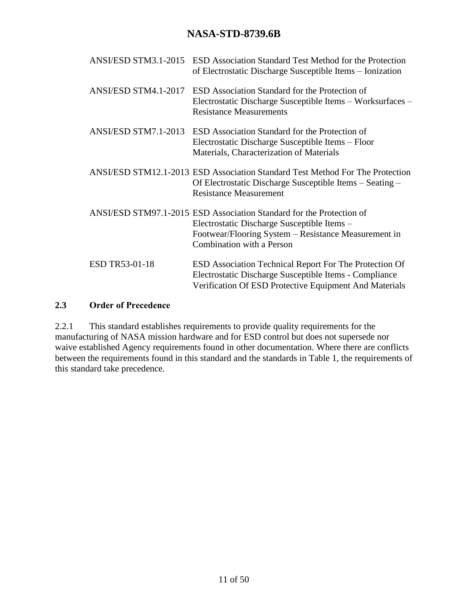| ANSI/ESD STM3.1-2015  | <b>ESD</b> Association Standard Test Method for the Protection<br>of Electrostatic Discharge Susceptible Items – Ionization                                                                              |
|-----------------------|----------------------------------------------------------------------------------------------------------------------------------------------------------------------------------------------------------|
| ANSI/ESD STM4.1-2017  | ESD Association Standard for the Protection of<br>Electrostatic Discharge Susceptible Items - Worksurfaces -<br><b>Resistance Measurements</b>                                                           |
| ANSI/ESD STM7.1-2013  | ESD Association Standard for the Protection of<br>Electrostatic Discharge Susceptible Items – Floor<br>Materials, Characterization of Materials                                                          |
|                       | ANSI/ESD STM12.1-2013 ESD Association Standard Test Method For The Protection<br>Of Electrostatic Discharge Susceptible Items – Seating –<br><b>Resistance Measurement</b>                               |
|                       | ANSI/ESD STM97.1-2015 ESD Association Standard for the Protection of<br>Electrostatic Discharge Susceptible Items -<br>Footwear/Flooring System – Resistance Measurement in<br>Combination with a Person |
| <b>ESD TR53-01-18</b> | ESD Association Technical Report For The Protection Of<br>Electrostatic Discharge Susceptible Items - Compliance<br>Verification Of ESD Protective Equipment And Materials                               |

#### <span id="page-10-0"></span>**2.3 Order of Precedence**

2.2.1 This standard establishes requirements to provide quality requirements for the manufacturing of NASA mission hardware and for ESD control but does not supersede nor waive established Agency requirements found in other documentation. Where there are conflicts between the requirements found in this standard and the standards in Table 1, the requirements of this standard take precedence.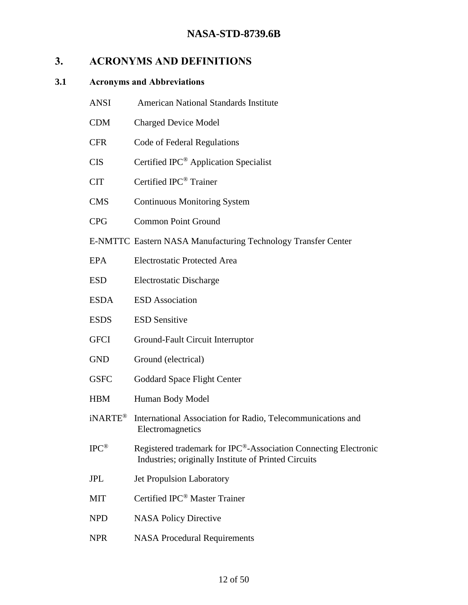# <span id="page-11-0"></span>**3. ACRONYMS AND DEFINITIONS**

#### <span id="page-11-1"></span>**3.1 Acronyms and Abbreviations**

- ANSI American National Standards Institute
- CDM Charged Device Model
- CFR Code of Federal Regulations
- CIS Certified IPC® Application Specialist
- CIT Certified IPC® Trainer
- CMS Continuous Monitoring System
- CPG Common Point Ground
- E-NMTTC Eastern NASA Manufacturing Technology Transfer Center
- EPA Electrostatic Protected Area
- ESD Electrostatic Discharge
- ESDA ESD Association
- ESDS ESD Sensitive
- GFCI Ground-Fault Circuit Interruptor
- GND Ground (electrical)
- GSFC Goddard Space Flight Center
- HBM Human Body Model
- iNARTE® International Association for Radio, Telecommunications and **Electromagnetics**
- IPC® Registered trademark for IPC®-Association Connecting Electronic Industries; originally Institute of Printed Circuits
- JPL Jet Propulsion Laboratory
- MIT Certified IPC<sup>®</sup> Master Trainer
- NPD NASA Policy Directive
- NPR NASA Procedural Requirements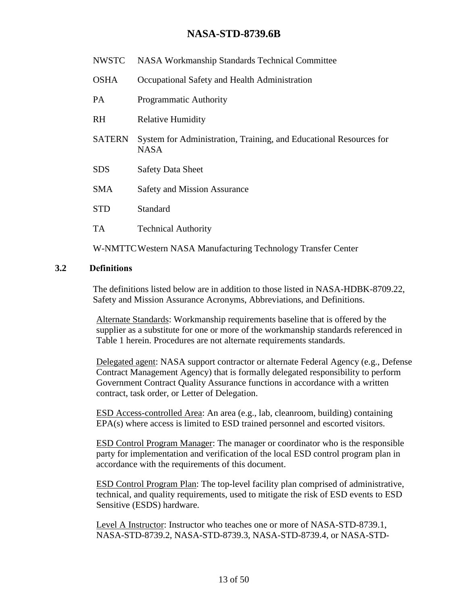- NWSTC NASA Workmanship Standards Technical Committee
- OSHA Occupational Safety and Health Administration
- PA Programmatic Authority
- RH Relative Humidity
- SATERN System for Administration, Training, and Educational Resources for NASA
- SDS Safety Data Sheet
- SMA Safety and Mission Assurance
- STD Standard
- TA Technical Authority

W-NMTTCWestern NASA Manufacturing Technology Transfer Center

#### <span id="page-12-0"></span>**3.2 Definitions**

The definitions listed below are in addition to those listed in NASA-HDBK-8709.22, Safety and Mission Assurance Acronyms, Abbreviations, and Definitions.

Alternate Standards: Workmanship requirements baseline that is offered by the supplier as a substitute for one or more of the workmanship standards referenced in [Table 1](#page-6-3) herein. Procedures are not alternate requirements standards.

Delegated agent: NASA support contractor or alternate Federal Agency (e.g., Defense Contract Management Agency) that is formally delegated responsibility to perform Government Contract Quality Assurance functions in accordance with a written contract, task order, or Letter of Delegation.

ESD Access-controlled Area: An area (e.g., lab, cleanroom, building) containing EPA(s) where access is limited to ESD trained personnel and escorted visitors.

ESD Control Program Manager: The manager or coordinator who is the responsible party for implementation and verification of the local ESD control program plan in accordance with the requirements of this document.

ESD Control Program Plan: The top-level facility plan comprised of administrative, technical, and quality requirements, used to mitigate the risk of ESD events to ESD Sensitive (ESDS) hardware.

Level A Instructor: Instructor who teaches one or more of NASA-STD-8739.1, NASA-STD-8739.2, NASA-STD-8739.3, NASA-STD-8739.4, or NASA-STD-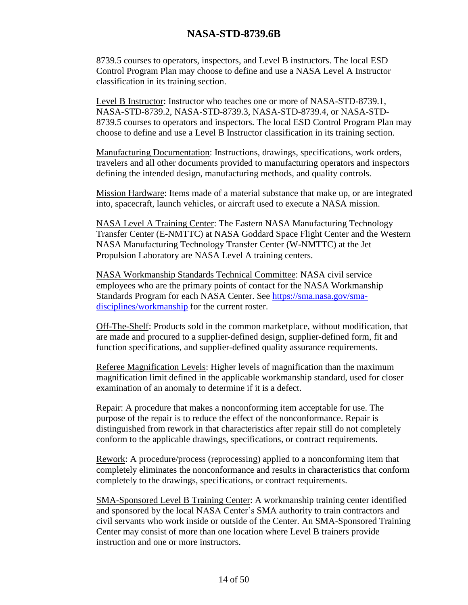8739.5 courses to operators, inspectors, and Level B instructors. The local ESD Control Program Plan may choose to define and use a NASA Level A Instructor classification in its training section.

Level B Instructor: Instructor who teaches one or more of NASA-STD-8739.1, NASA-STD-8739.2, NASA-STD-8739.3, NASA-STD-8739.4, or NASA-STD-8739.5 courses to operators and inspectors. The local ESD Control Program Plan may choose to define and use a Level B Instructor classification in its training section.

Manufacturing Documentation: Instructions, drawings, specifications, work orders, travelers and all other documents provided to manufacturing operators and inspectors defining the intended design, manufacturing methods, and quality controls.

Mission Hardware: Items made of a material substance that make up, or are integrated into, spacecraft, launch vehicles, or aircraft used to execute a NASA mission.

NASA Level A Training Center: The Eastern NASA Manufacturing Technology Transfer Center (E-NMTTC) at NASA Goddard Space Flight Center and the Western NASA Manufacturing Technology Transfer Center (W-NMTTC) at the Jet Propulsion Laboratory are NASA Level A training centers.

NASA Workmanship Standards Technical Committee: NASA civil service employees who are the primary points of contact for the NASA Workmanship Standards Program for each NASA Center. See [https://sma.nasa.gov/sma](https://sma.nasa.gov/sma-disciplines/workmanship)[disciplines/workmanship](https://sma.nasa.gov/sma-disciplines/workmanship) for the current roster.

Off-The-Shelf: Products sold in the common marketplace, without modification, that are made and procured to a supplier-defined design, supplier-defined form, fit and function specifications, and supplier-defined quality assurance requirements.

Referee Magnification Levels: Higher levels of magnification than the maximum magnification limit defined in the applicable workmanship standard, used for closer examination of an anomaly to determine if it is a defect.

Repair: A procedure that makes a nonconforming item acceptable for use. The purpose of the repair is to reduce the effect of the nonconformance. Repair is distinguished from rework in that characteristics after repair still do not completely conform to the applicable drawings, specifications, or contract requirements.

Rework: A procedure/process (reprocessing) applied to a nonconforming item that completely eliminates the nonconformance and results in characteristics that conform completely to the drawings, specifications, or contract requirements.

SMA-Sponsored Level B Training Center: A workmanship training center identified and sponsored by the local NASA Center's SMA authority to train contractors and civil servants who work inside or outside of the Center. An SMA-Sponsored Training Center may consist of more than one location where Level B trainers provide instruction and one or more instructors.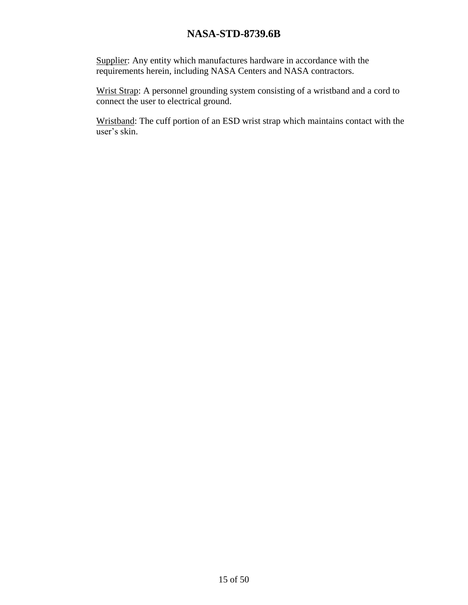Supplier: Any entity which manufactures hardware in accordance with the requirements herein, including NASA Centers and NASA contractors.

Wrist Strap: A personnel grounding system consisting of a wristband and a cord to connect the user to electrical ground.

Wristband: The cuff portion of an ESD wrist strap which maintains contact with the user's skin.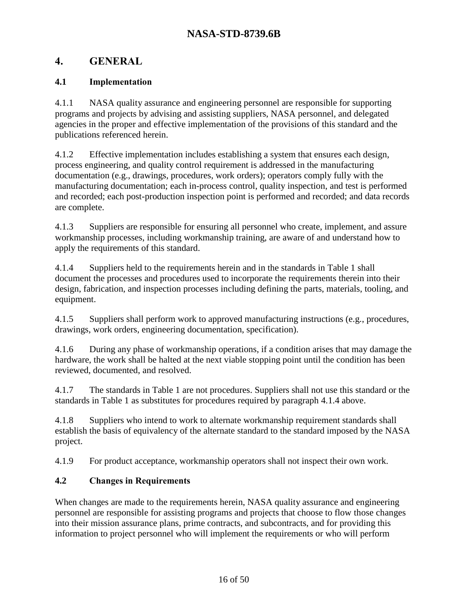# <span id="page-15-0"></span>**4. GENERAL**

# <span id="page-15-1"></span>**4.1 Implementation**

4.1.1 NASA quality assurance and engineering personnel are responsible for supporting programs and projects by advising and assisting suppliers, NASA personnel, and delegated agencies in the proper and effective implementation of the provisions of this standard and the publications referenced herein.

4.1.2 Effective implementation includes establishing a system that ensures each design, process engineering, and quality control requirement is addressed in the manufacturing documentation (e.g., drawings, procedures, work orders); operators comply fully with the manufacturing documentation; each in-process control, quality inspection, and test is performed and recorded; each post-production inspection point is performed and recorded; and data records are complete.

4.1.3 Suppliers are responsible for ensuring all personnel who create, implement, and assure workmanship processes, including workmanship training, are aware of and understand how to apply the requirements of this standard.

<span id="page-15-3"></span>4.1.4 Suppliers held to the requirements herein and in the standards in [Table 1](#page-6-3) shall document the processes and procedures used to incorporate the requirements therein into their design, fabrication, and inspection processes including defining the parts, materials, tooling, and equipment.

4.1.5 Suppliers shall perform work to approved manufacturing instructions (e.g., procedures, drawings, work orders, engineering documentation, specification).

4.1.6 During any phase of workmanship operations, if a condition arises that may damage the hardware, the work shall be halted at the next viable stopping point until the condition has been reviewed, documented, and resolved.

4.1.7 The standards in [Table 1](#page-6-3) are not procedures. Suppliers shall not use this standard or the standards in [Table 1](#page-6-3) as substitutes for procedures required by paragraph [4.1.4 above.](#page-15-3)

4.1.8 Suppliers who intend to work to alternate workmanship requirement standards shall establish the basis of equivalency of the alternate standard to the standard imposed by the NASA project.

<span id="page-15-4"></span>4.1.9 For product acceptance, workmanship operators shall not inspect their own work.

# <span id="page-15-2"></span>**4.2 Changes in Requirements**

When changes are made to the requirements herein, NASA quality assurance and engineering personnel are responsible for assisting programs and projects that choose to flow those changes into their mission assurance plans, prime contracts, and subcontracts, and for providing this information to project personnel who will implement the requirements or who will perform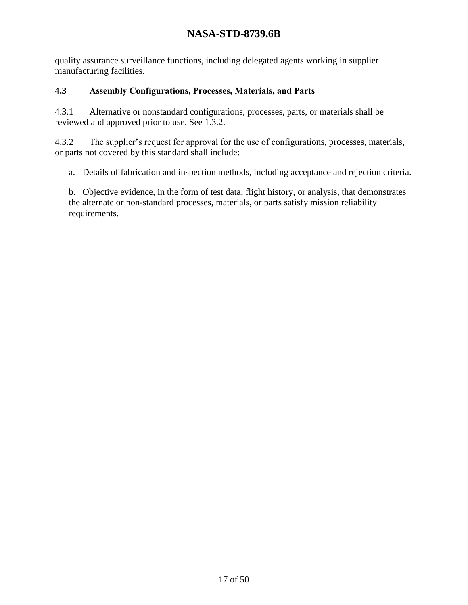quality assurance surveillance functions, including delegated agents working in supplier manufacturing facilities.

#### <span id="page-16-0"></span>**4.3 Assembly Configurations, Processes, Materials, and Parts**

<span id="page-16-1"></span>4.3.1 Alternative or nonstandard configurations, processes, parts, or materials shall be reviewed and approved prior to use. See 1.3.2.

4.3.2 The supplier's request for approval for the use of configurations, processes, materials, or parts not covered by this standard shall include:

a. Details of fabrication and inspection methods, including acceptance and rejection criteria.

b. Objective evidence, in the form of test data, flight history, or analysis, that demonstrates the alternate or non-standard processes, materials, or parts satisfy mission reliability requirements.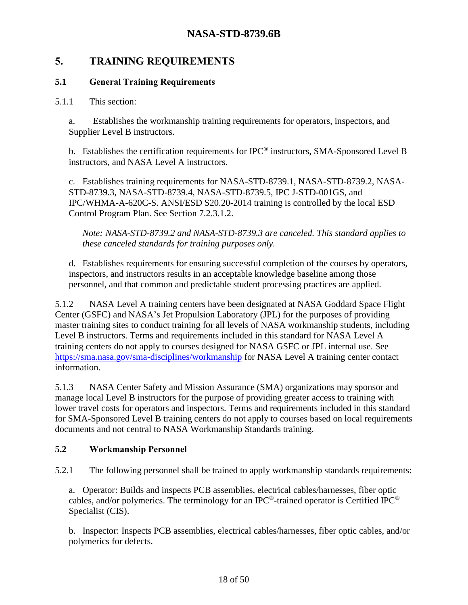# <span id="page-17-0"></span>**5. TRAINING REQUIREMENTS**

#### <span id="page-17-1"></span>**5.1 General Training Requirements**

#### 5.1.1 This section:

a. Establishes the workmanship training requirements for operators, inspectors, and Supplier Level B instructors.

b. Establishes the certification requirements for IPC® instructors, SMA-Sponsored Level B instructors, and NASA Level A instructors.

c. Establishes training requirements for NASA-STD-8739.1, NASA-STD-8739.2, NASA-STD-8739.3, NASA-STD-8739.4, NASA-STD-8739.5, IPC J-STD-001GS, and IPC/WHMA-A-620C-S. ANSI/ESD S20.20-2014 training is controlled by the local ESD Control Program Plan. See Section [7.2.3.1.2.](#page-35-0)

*Note: NASA-STD-8739.2 and NASA-STD-8739.3 are canceled. This standard applies to these canceled standards for training purposes only.*

d. Establishes requirements for ensuring successful completion of the courses by operators, inspectors, and instructors results in an acceptable knowledge baseline among those personnel, and that common and predictable student processing practices are applied.

<span id="page-17-3"></span>5.1.2 NASA Level A training centers have been designated at NASA Goddard Space Flight Center (GSFC) and NASA's Jet Propulsion Laboratory (JPL) for the purposes of providing master training sites to conduct training for all levels of NASA workmanship students, including Level B instructors. Terms and requirements included in this standard for NASA Level A training centers do not apply to courses designed for NASA GSFC or JPL internal use. See <https://sma.nasa.gov/sma-disciplines/workmanship> for NASA Level A training center contact information.

5.1.3 NASA Center Safety and Mission Assurance (SMA) organizations may sponsor and manage local Level B instructors for the purpose of providing greater access to training with lower travel costs for operators and inspectors. Terms and requirements included in this standard for SMA-Sponsored Level B training centers do not apply to courses based on local requirements documents and not central to NASA Workmanship Standards training.

#### <span id="page-17-2"></span>**5.2 Workmanship Personnel**

<span id="page-17-4"></span>5.2.1 The following personnel shall be trained to apply workmanship standards requirements:

a. Operator: Builds and inspects PCB assemblies, electrical cables/harnesses, fiber optic cables, and/or polymerics. The terminology for an IPC<sup>®</sup>-trained operator is Certified IPC<sup>®</sup> Specialist (CIS).

b. Inspector: Inspects PCB assemblies, electrical cables/harnesses, fiber optic cables, and/or polymerics for defects.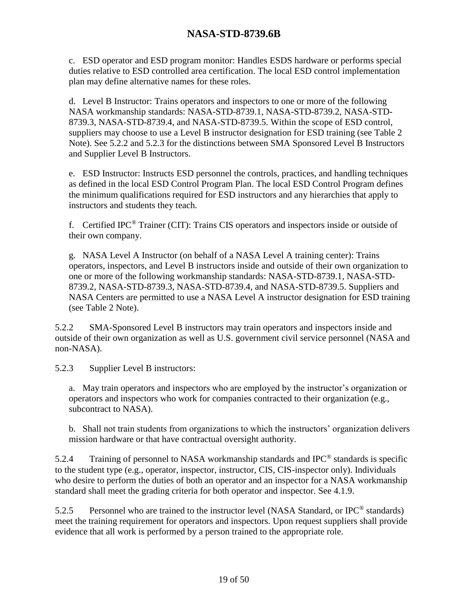c. ESD operator and ESD program monitor: Handles ESDS hardware or performs special duties relative to ESD controlled area certification. The local ESD control implementation plan may define alternative names for these roles.

d. Level B Instructor: Trains operators and inspectors to one or more of the following NASA workmanship standards: NASA-STD-8739.1, NASA-STD-8739.2, NASA-STD-8739.3, NASA-STD-8739.4, and NASA-STD-8739.5. Within the scope of ESD control, suppliers may choose to use a Level B instructor designation for ESD training (see [Table 2](#page-29-1) Note). See 5.2.2 and 5.2.3 for the distinctions between SMA Sponsored Level B Instructors and Supplier Level B Instructors.

e. ESD Instructor: Instructs ESD personnel the controls, practices, and handling techniques as defined in the local ESD Control Program Plan. The local ESD Control Program defines the minimum qualifications required for ESD instructors and any hierarchies that apply to instructors and students they teach.

f. Certified IPC® Trainer (CIT): Trains CIS operators and inspectors inside or outside of their own company.

g. NASA Level A Instructor (on behalf of a NASA Level A training center): Trains operators, inspectors, and Level B instructors inside and outside of their own organization to one or more of the following workmanship standards: NASA-STD-8739.1, NASA-STD-8739.2, NASA-STD-8739.3, NASA-STD-8739.4, and NASA-STD-8739.5. Suppliers and NASA Centers are permitted to use a NASA Level A instructor designation for ESD training (see [Table 2](#page-29-1) Note).

<span id="page-18-0"></span>5.2.2 SMA-Sponsored Level B instructors may train operators and inspectors inside and outside of their own organization as well as U.S. government civil service personnel (NASA and non-NASA).

5.2.3 Supplier Level B instructors:

a. May train operators and inspectors who are employed by the instructor's organization or operators and inspectors who work for companies contracted to their organization (e.g., subcontract to NASA).

b. Shall not train students from organizations to which the instructors' organization delivers mission hardware or that have contractual oversight authority.

5.2.4 Training of personnel to NASA workmanship standards and IPC<sup>®</sup> standards is specific to the student type (e.g., operator, inspector, instructor, CIS, CIS-inspector only). Individuals who desire to perform the duties of both an operator and an inspector for a NASA workmanship standard shall meet the grading criteria for both operator and inspector. See [4.1.9.](#page-15-4)

5.2.5 Personnel who are trained to the instructor level (NASA Standard, or IPC<sup>®</sup> standards) meet the training requirement for operators and inspectors. Upon request suppliers shall provide evidence that all work is performed by a person trained to the appropriate role.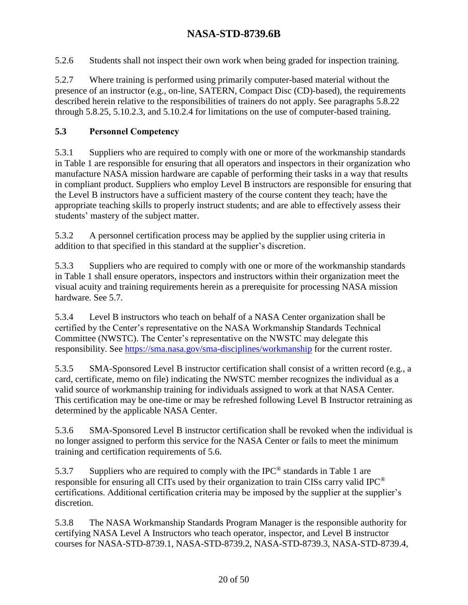5.2.6 Students shall not inspect their own work when being graded for inspection training.

<span id="page-19-1"></span>5.2.7 Where training is performed using primarily computer-based material without the presence of an instructor (e.g., on-line, SATERN, Compact Disc (CD)-based), the requirements described herein relative to the responsibilities of trainers do not apply. See paragraphs [5.8.22](#page-24-0) through [5.8.25,](#page-24-1) [5.10.2.3,](#page-27-1) and [5.10.2.4](#page-27-2) for limitations on the use of computer-based training.

#### <span id="page-19-0"></span>**5.3 Personnel Competency**

<span id="page-19-3"></span>5.3.1 Suppliers who are required to comply with one or more of the workmanship standards in [Table 1](#page-6-3) are responsible for ensuring that all operators and inspectors in their organization who manufacture NASA mission hardware are capable of performing their tasks in a way that results in compliant product. Suppliers who employ Level B instructors are responsible for ensuring that the Level B instructors have a sufficient mastery of the course content they teach; have the appropriate teaching skills to properly instruct students; and are able to effectively assess their students' mastery of the subject matter.

5.3.2 A personnel certification process may be applied by the supplier using criteria in addition to that specified in this standard at the supplier's discretion.

5.3.3 Suppliers who are required to comply with one or more of the workmanship standards in [Table 1](#page-6-3) shall ensure operators, inspectors and instructors within their organization meet the visual acuity and training requirements herein as a prerequisite for processing NASA mission hardware. See [5.7.](#page-21-0)

<span id="page-19-2"></span>5.3.4 Level B instructors who teach on behalf of a NASA Center organization shall be certified by the Center's representative on the NASA Workmanship Standards Technical Committee (NWSTC). The Center's representative on the NWSTC may delegate this responsibility. See<https://sma.nasa.gov/sma-disciplines/workmanship> for the current roster.

5.3.5 SMA-Sponsored Level B instructor certification shall consist of a written record (e.g., a card, certificate, memo on file) indicating the NWSTC member recognizes the individual as a valid source of workmanship training for individuals assigned to work at that NASA Center. This certification may be one-time or may be refreshed following Level B Instructor retraining as determined by the applicable NASA Center.

5.3.6 SMA-Sponsored Level B instructor certification shall be revoked when the individual is no longer assigned to perform this service for the NASA Center or fails to meet the minimum training and certification requirements of [5.6.](#page-20-2)

5.3.7 Suppliers who are required to comply with the IPC<sup>®</sup> standards in [Table 1](#page-6-3) are responsible for ensuring all CITs used by their organization to train CISs carry valid IPC® certifications. Additional certification criteria may be imposed by the supplier at the supplier's discretion.

5.3.8 The NASA Workmanship Standards Program Manager is the responsible authority for certifying NASA Level A Instructors who teach operator, inspector, and Level B instructor courses for NASA-STD-8739.1, NASA-STD-8739.2, NASA-STD-8739.3, NASA-STD-8739.4,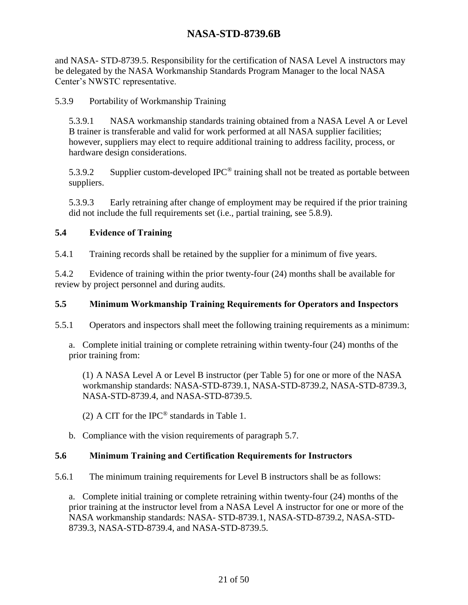and NASA- STD-8739.5. Responsibility for the certification of NASA Level A instructors may be delegated by the NASA Workmanship Standards Program Manager to the local NASA Center's NWSTC representative.

5.3.9 Portability of Workmanship Training

5.3.9.1 NASA workmanship standards training obtained from a NASA Level A or Level B trainer is transferable and valid for work performed at all NASA supplier facilities; however, suppliers may elect to require additional training to address facility, process, or hardware design considerations.

5.3.9.2 Supplier custom-developed IPC<sup>®</sup> training shall not be treated as portable between suppliers.

5.3.9.3 Early retraining after change of employment may be required if the prior training did not include the full requirements set (i.e., partial training, see [5.8.9\)](#page-23-0).

#### <span id="page-20-0"></span>**5.4 Evidence of Training**

5.4.1 Training records shall be retained by the supplier for a minimum of five years.

5.4.2 Evidence of training within the prior twenty-four (24) months shall be available for review by project personnel and during audits.

#### <span id="page-20-1"></span>**5.5 Minimum Workmanship Training Requirements for Operators and Inspectors**

5.5.1 Operators and inspectors shall meet the following training requirements as a minimum:

a. Complete initial training or complete retraining within twenty-four (24) months of the prior training from:

(1) A NASA Level A or Level B instructor (per Table 5) for one or more of the NASA workmanship standards: NASA-STD-8739.1, NASA-STD-8739.2, NASA-STD-8739.3, NASA-STD-8739.4, and NASA-STD-8739.5.

(2) A CIT for the IPC® standards in [Table 1.](#page-6-3)

b. Compliance with the vision requirements of paragraph [5.7.](#page-21-0)

#### <span id="page-20-2"></span>**5.6 Minimum Training and Certification Requirements for Instructors**

<span id="page-20-3"></span>5.6.1 The minimum training requirements for Level B instructors shall be as follows:

a. Complete initial training or complete retraining within twenty-four (24) months of the prior training at the instructor level from a NASA Level A instructor for one or more of the NASA workmanship standards: NASA- STD-8739.1, NASA-STD-8739.2, NASA-STD-8739.3, NASA-STD-8739.4, and NASA-STD-8739.5.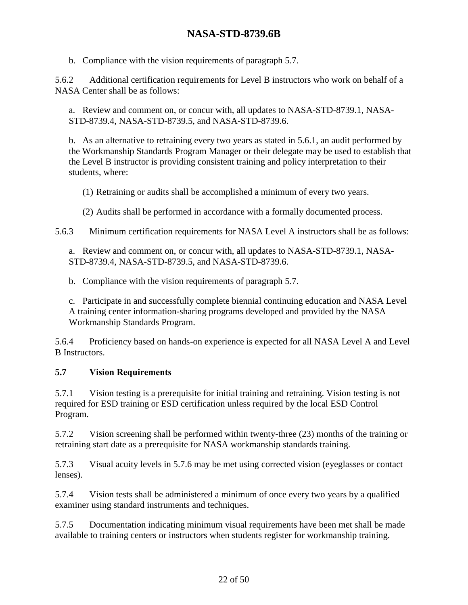b. Compliance with the vision requirements of paragraph [5.7.](#page-21-0)

<span id="page-21-3"></span>5.6.2 Additional certification requirements for Level B instructors who work on behalf of a NASA Center shall be as follows:

a. Review and comment on, or concur with, all updates to NASA-STD-8739.1, NASA-STD-8739.4, NASA-STD-8739.5, and NASA-STD-8739.6.

b. As an alternative to retraining every two years as stated in 5.6.1, an audit performed by the Workmanship Standards Program Manager or their delegate may be used to establish that the Level B instructor is providing consistent training and policy interpretation to their students, where:

(1) Retraining or audits shall be accomplished a minimum of every two years.

(2) Audits shall be performed in accordance with a formally documented process.

<span id="page-21-2"></span>5.6.3 Minimum certification requirements for NASA Level A instructors shall be as follows:

a. Review and comment on, or concur with, all updates to NASA-STD-8739.1, NASA-STD-8739.4, NASA-STD-8739.5, and NASA-STD-8739.6.

b. Compliance with the vision requirements of paragraph [5.7.](#page-21-0)

c. Participate in and successfully complete biennial continuing education and NASA Level A training center information-sharing programs developed and provided by the NASA Workmanship Standards Program.

5.6.4 Proficiency based on hands-on experience is expected for all NASA Level A and Level B Instructors.

### <span id="page-21-0"></span>**5.7 Vision Requirements**

5.7.1 Vision testing is a prerequisite for initial training and retraining. Vision testing is not required for ESD training or ESD certification unless required by the local ESD Control Program.

<span id="page-21-1"></span>5.7.2 Vision screening shall be performed within twenty-three (23) months of the training or retraining start date as a prerequisite for NASA workmanship standards training.

5.7.3 Visual acuity levels in 5.7.6 may be met using corrected vision (eyeglasses or contact lenses).

5.7.4 Vision tests shall be administered a minimum of once every two years by a qualified examiner using standard instruments and techniques.

5.7.5 Documentation indicating minimum visual requirements have been met shall be made available to training centers or instructors when students register for workmanship training.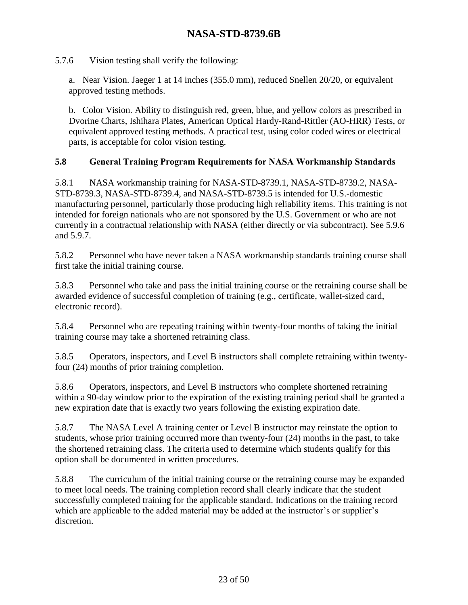5.7.6 Vision testing shall verify the following:

a. Near Vision. Jaeger 1 at 14 inches (355.0 mm), reduced Snellen 20/20, or equivalent approved testing methods.

b. Color Vision. Ability to distinguish red, green, blue, and yellow colors as prescribed in Dvorine Charts, Ishihara Plates, American Optical Hardy-Rand-Rittler (AO-HRR) Tests, or equivalent approved testing methods. A practical test, using color coded wires or electrical parts, is acceptable for color vision testing.

#### <span id="page-22-0"></span>**5.8 General Training Program Requirements for NASA Workmanship Standards**

<span id="page-22-4"></span>5.8.1 NASA workmanship training for NASA-STD-8739.1, NASA-STD-8739.2, NASA-STD-8739.3, NASA-STD-8739.4, and NASA-STD-8739.5 is intended for U.S.-domestic manufacturing personnel, particularly those producing high reliability items. This training is not intended for foreign nationals who are not sponsored by the U.S. Government or who are not currently in a contractual relationship with NASA (either directly or via subcontract). See [5.9.6](#page-25-1) and [5.9.7.](#page-26-1)

5.8.2 Personnel who have never taken a NASA workmanship standards training course shall first take the initial training course.

5.8.3 Personnel who take and pass the initial training course or the retraining course shall be awarded evidence of successful completion of training (e.g., certificate, wallet-sized card, electronic record).

5.8.4 Personnel who are repeating training within twenty-four months of taking the initial training course may take a shortened retraining class.

<span id="page-22-2"></span>5.8.5 Operators, inspectors, and Level B instructors shall complete retraining within twentyfour (24) months of prior training completion.

5.8.6 Operators, inspectors, and Level B instructors who complete shortened retraining within a 90-day window prior to the expiration of the existing training period shall be granted a new expiration date that is exactly two years following the existing expiration date.

<span id="page-22-3"></span>5.8.7 The NASA Level A training center or Level B instructor may reinstate the option to students, whose prior training occurred more than twenty-four (24) months in the past, to take the shortened retraining class. The criteria used to determine which students qualify for this option shall be documented in written procedures.

<span id="page-22-1"></span>5.8.8 The curriculum of the initial training course or the retraining course may be expanded to meet local needs. The training completion record shall clearly indicate that the student successfully completed training for the applicable standard. Indications on the training record which are applicable to the added material may be added at the instructor's or supplier's discretion.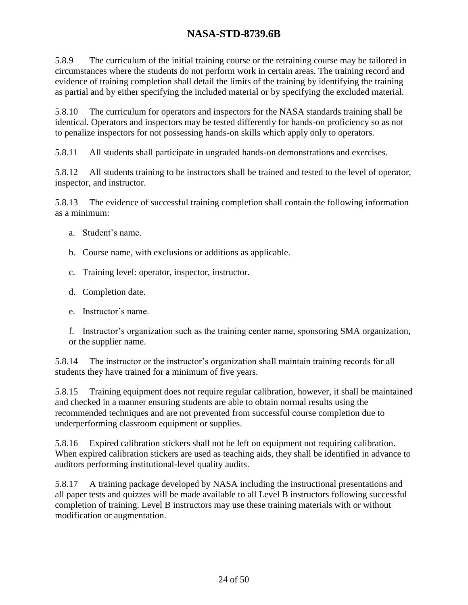<span id="page-23-0"></span>5.8.9 The curriculum of the initial training course or the retraining course may be tailored in circumstances where the students do not perform work in certain areas. The training record and evidence of training completion shall detail the limits of the training by identifying the training as partial and by either specifying the included material or by specifying the excluded material.

5.8.10 The curriculum for operators and inspectors for the NASA standards training shall be identical. Operators and inspectors may be tested differently for hands-on proficiency so as not to penalize inspectors for not possessing hands-on skills which apply only to operators.

5.8.11 All students shall participate in ungraded hands-on demonstrations and exercises.

5.8.12 All students training to be instructors shall be trained and tested to the level of operator, inspector, and instructor.

5.8.13 The evidence of successful training completion shall contain the following information as a minimum:

- a. Student's name.
- b. Course name, with exclusions or additions as applicable.
- c. Training level: operator, inspector, instructor.
- d. Completion date.
- e. Instructor's name.

f. Instructor's organization such as the training center name, sponsoring SMA organization, or the supplier name.

5.8.14 The instructor or the instructor's organization shall maintain training records for all students they have trained for a minimum of five years.

5.8.15 Training equipment does not require regular calibration, however, it shall be maintained and checked in a manner ensuring students are able to obtain normal results using the recommended techniques and are not prevented from successful course completion due to underperforming classroom equipment or supplies.

5.8.16 Expired calibration stickers shall not be left on equipment not requiring calibration. When expired calibration stickers are used as teaching aids, they shall be identified in advance to auditors performing institutional-level quality audits.

5.8.17 A training package developed by NASA including the instructional presentations and all paper tests and quizzes will be made available to all Level B instructors following successful completion of training. Level B instructors may use these training materials with or without modification or augmentation.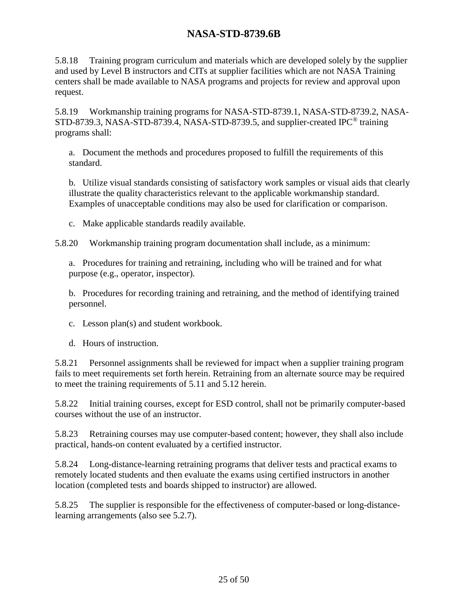5.8.18 Training program curriculum and materials which are developed solely by the supplier and used by Level B instructors and CITs at supplier facilities which are not NASA Training centers shall be made available to NASA programs and projects for review and approval upon request.

5.8.19 Workmanship training programs for NASA-STD-8739.1, NASA-STD-8739.2, NASA-STD-8739.3, NASA-STD-8739.4, NASA-STD-8739.5, and supplier-created IPC® training programs shall:

a. Document the methods and procedures proposed to fulfill the requirements of this standard.

b. Utilize visual standards consisting of satisfactory work samples or visual aids that clearly illustrate the quality characteristics relevant to the applicable workmanship standard. Examples of unacceptable conditions may also be used for clarification or comparison.

c. Make applicable standards readily available.

5.8.20 Workmanship training program documentation shall include, as a minimum:

a. Procedures for training and retraining, including who will be trained and for what purpose (e.g., operator, inspector).

b. Procedures for recording training and retraining, and the method of identifying trained personnel.

- c. Lesson plan(s) and student workbook.
- d. Hours of instruction.

5.8.21 Personnel assignments shall be reviewed for impact when a supplier training program fails to meet requirements set forth herein. Retraining from an alternate source may be required to meet the training requirements of [5.11](#page-27-0) and [5.12](#page-29-0) herein.

<span id="page-24-0"></span>5.8.22 Initial training courses, except for ESD control, shall not be primarily computer-based courses without the use of an instructor.

5.8.23 Retraining courses may use computer-based content; however, they shall also include practical, hands-on content evaluated by a certified instructor.

5.8.24 Long-distance-learning retraining programs that deliver tests and practical exams to remotely located students and then evaluate the exams using certified instructors in another location (completed tests and boards shipped to instructor) are allowed.

<span id="page-24-1"></span>5.8.25 The supplier is responsible for the effectiveness of computer-based or long-distancelearning arrangements (also see [5.2.7\)](#page-19-1).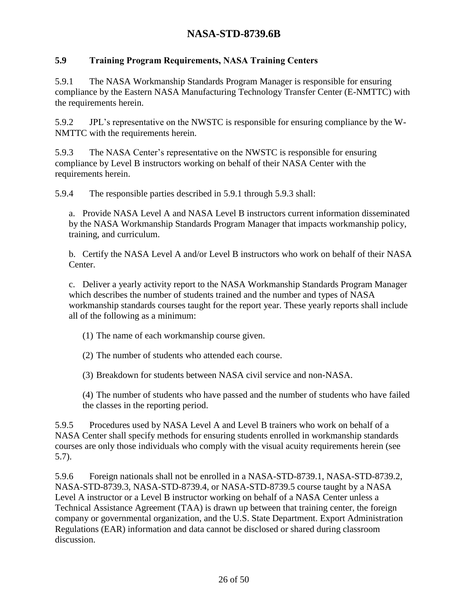#### <span id="page-25-0"></span>**5.9 Training Program Requirements, NASA Training Centers**

<span id="page-25-2"></span>5.9.1 The NASA Workmanship Standards Program Manager is responsible for ensuring compliance by the Eastern NASA Manufacturing Technology Transfer Center (E-NMTTC) with the requirements herein.

5.9.2 JPL's representative on the NWSTC is responsible for ensuring compliance by the W-NMTTC with the requirements herein.

<span id="page-25-3"></span>5.9.3 The NASA Center's representative on the NWSTC is responsible for ensuring compliance by Level B instructors working on behalf of their NASA Center with the requirements herein.

5.9.4 The responsible parties described in [5.9.1](#page-25-2) through [5.9.3](#page-25-3) shall:

a. Provide NASA Level A and NASA Level B instructors current information disseminated by the NASA Workmanship Standards Program Manager that impacts workmanship policy, training, and curriculum.

b. Certify the NASA Level A and/or Level B instructors who work on behalf of their NASA Center.

c. Deliver a yearly activity report to the NASA Workmanship Standards Program Manager which describes the number of students trained and the number and types of NASA workmanship standards courses taught for the report year. These yearly reports shall include all of the following as a minimum:

(1) The name of each workmanship course given.

(2) The number of students who attended each course.

(3) Breakdown for students between NASA civil service and non-NASA.

(4) The number of students who have passed and the number of students who have failed the classes in the reporting period.

5.9.5 Procedures used by NASA Level A and Level B trainers who work on behalf of a NASA Center shall specify methods for ensuring students enrolled in workmanship standards courses are only those individuals who comply with the visual acuity requirements herein (see [5.7\)](#page-21-0).

<span id="page-25-1"></span>5.9.6 Foreign nationals shall not be enrolled in a NASA-STD-8739.1, NASA-STD-8739.2, NASA-STD-8739.3, NASA-STD-8739.4, or NASA-STD-8739.5 course taught by a NASA Level A instructor or a Level B instructor working on behalf of a NASA Center unless a Technical Assistance Agreement (TAA) is drawn up between that training center, the foreign company or governmental organization, and the U.S. State Department. Export Administration Regulations (EAR) information and data cannot be disclosed or shared during classroom discussion.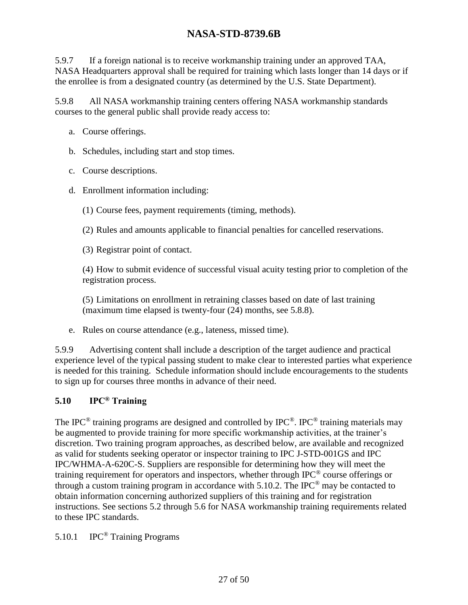<span id="page-26-1"></span>5.9.7 If a foreign national is to receive workmanship training under an approved TAA, NASA Headquarters approval shall be required for training which lasts longer than 14 days or if the enrollee is from a designated country (as determined by the U.S. State Department).

5.9.8 All NASA workmanship training centers offering NASA workmanship standards courses to the general public shall provide ready access to:

- a. Course offerings.
- b. Schedules, including start and stop times.
- c. Course descriptions.
- d. Enrollment information including:
	- (1) Course fees, payment requirements (timing, methods).
	- (2) Rules and amounts applicable to financial penalties for cancelled reservations.
	- (3) Registrar point of contact.

(4) How to submit evidence of successful visual acuity testing prior to completion of the registration process.

(5) Limitations on enrollment in retraining classes based on date of last training (maximum time elapsed is twenty-four (24) months, see [5.8.8\)](#page-22-1).

e. Rules on course attendance (e.g., lateness, missed time).

5.9.9 Advertising content shall include a description of the target audience and practical experience level of the typical passing student to make clear to interested parties what experience is needed for this training. Schedule information should include encouragements to the students to sign up for courses three months in advance of their need.

### <span id="page-26-0"></span>**5.10 IPC® Training**

The IPC<sup>®</sup> training programs are designed and controlled by IPC<sup>®</sup>. IPC<sup>®</sup> training materials may be augmented to provide training for more specific workmanship activities, at the trainer's discretion. Two training program approaches, as described below, are available and recognized as valid for students seeking operator or inspector training to IPC J-STD-001GS and IPC IPC/WHMA-A-620C-S. Suppliers are responsible for determining how they will meet the training requirement for operators and inspectors, whether through IPC® course offerings or through a custom training program in accordance with [5.10.2.](#page-27-3) The IPC<sup>®</sup> may be contacted to obtain information concerning authorized suppliers of this training and for registration instructions. See sections 5.2 through 5.6 for NASA workmanship training requirements related to these IPC standards.

5.10.1 IPC® Training Programs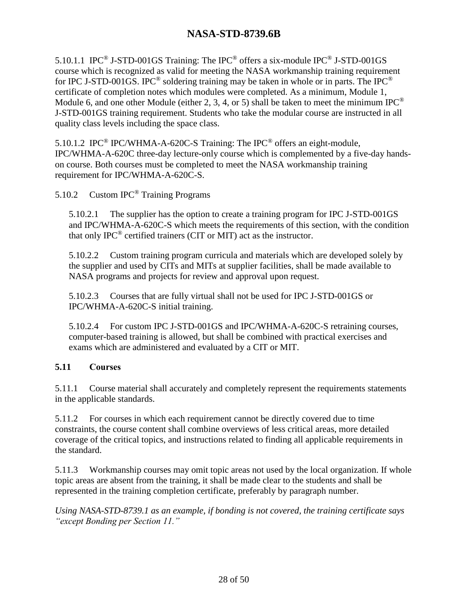5.10.1.1 IPC® J-STD-001GS Training: The IPC® offers a six-module IPC® J-STD-001GS course which is recognized as valid for meeting the NASA workmanship training requirement for IPC J-STD-001GS. IPC<sup>®</sup> soldering training may be taken in whole or in parts. The IPC<sup>®</sup> certificate of completion notes which modules were completed. As a minimum, Module 1, Module 6, and one other Module (either 2, 3, 4, or 5) shall be taken to meet the minimum IPC<sup>®</sup> J-STD-001GS training requirement. Students who take the modular course are instructed in all quality class levels including the space class.

5.10.1.2 IPC® IPC/WHMA-A-620C-S Training: The IPC® offers an eight-module, IPC/WHMA-A-620C three-day lecture-only course which is complemented by a five-day handson course. Both courses must be completed to meet the NASA workmanship training requirement for IPC/WHMA-A-620C-S.

<span id="page-27-3"></span>5.10.2 Custom IPC® Training Programs

5.10.2.1 The supplier has the option to create a training program for IPC J-STD-001GS and IPC/WHMA-A-620C-S which meets the requirements of this section, with the condition that only  $IPC^{\circledast}$  certified trainers (CIT or MIT) act as the instructor.

5.10.2.2 Custom training program curricula and materials which are developed solely by the supplier and used by CITs and MITs at supplier facilities, shall be made available to NASA programs and projects for review and approval upon request.

<span id="page-27-1"></span>5.10.2.3 Courses that are fully virtual shall not be used for IPC J-STD-001GS or IPC/WHMA-A-620C-S initial training.

<span id="page-27-2"></span>5.10.2.4 For custom IPC J-STD-001GS and IPC/WHMA-A-620C-S retraining courses, computer-based training is allowed, but shall be combined with practical exercises and exams which are administered and evaluated by a CIT or MIT.

#### <span id="page-27-0"></span>**5.11 Courses**

5.11.1 Course material shall accurately and completely represent the requirements statements in the applicable standards.

5.11.2 For courses in which each requirement cannot be directly covered due to time constraints, the course content shall combine overviews of less critical areas, more detailed coverage of the critical topics, and instructions related to finding all applicable requirements in the standard.

5.11.3 Workmanship courses may omit topic areas not used by the local organization. If whole topic areas are absent from the training, it shall be made clear to the students and shall be represented in the training completion certificate, preferably by paragraph number.

*Using NASA-STD-8739.1 as an example, if bonding is not covered, the training certificate says "except Bonding per Section 11."*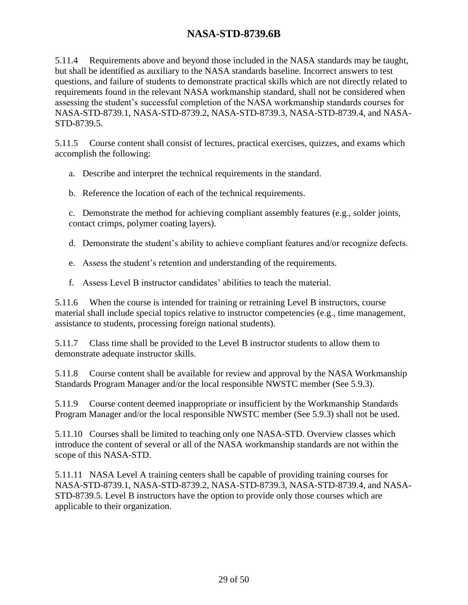5.11.4 Requirements above and beyond those included in the NASA standards may be taught, but shall be identified as auxiliary to the NASA standards baseline. Incorrect answers to test questions, and failure of students to demonstrate practical skills which are not directly related to requirements found in the relevant NASA workmanship standard, shall not be considered when assessing the student's successful completion of the NASA workmanship standards courses for NASA-STD-8739.1, NASA-STD-8739.2, NASA-STD-8739.3, NASA-STD-8739.4, and NASA-STD-8739.5.

5.11.5 Course content shall consist of lectures, practical exercises, quizzes, and exams which accomplish the following:

a. Describe and interpret the technical requirements in the standard.

b. Reference the location of each of the technical requirements.

c. Demonstrate the method for achieving compliant assembly features (e.g., solder joints, contact crimps, polymer coating layers).

d. Demonstrate the student's ability to achieve compliant features and/or recognize defects.

- e. Assess the student's retention and understanding of the requirements.
- f. Assess Level B instructor candidates' abilities to teach the material.

5.11.6 When the course is intended for training or retraining Level B instructors, course material shall include special topics relative to instructor competencies (e.g., time management, assistance to students, processing foreign national students).

5.11.7 Class time shall be provided to the Level B instructor students to allow them to demonstrate adequate instructor skills.

5.11.8 Course content shall be available for review and approval by the NASA Workmanship Standards Program Manager and/or the local responsible NWSTC member (See [5.9.3\)](#page-25-3).

5.11.9 Course content deemed inappropriate or insufficient by the Workmanship Standards Program Manager and/or the local responsible NWSTC member (See [5.9.3\)](#page-25-3) shall not be used.

5.11.10 Courses shall be limited to teaching only one NASA-STD. Overview classes which introduce the content of several or all of the NASA workmanship standards are not within the scope of this NASA-STD.

5.11.11 NASA Level A training centers shall be capable of providing training courses for NASA-STD-8739.1, NASA-STD-8739.2, NASA-STD-8739.3, NASA-STD-8739.4, and NASA-STD-8739.5. Level B instructors have the option to provide only those courses which are applicable to their organization.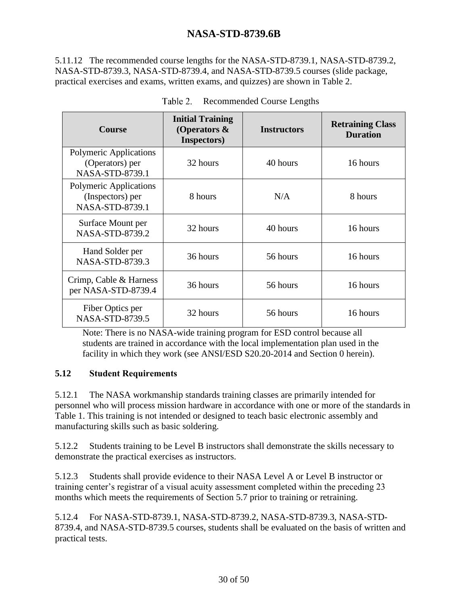5.11.12 The recommended course lengths for the NASA-STD-8739.1, NASA-STD-8739.2, NASA-STD-8739.3, NASA-STD-8739.4, and NASA-STD-8739.5 courses (slide package, practical exercises and exams, written exams, and quizzes) are shown in [Table 2.](#page-29-1)

<span id="page-29-1"></span>

| <b>Course</b>                                                        | <b>Initial Training</b><br>(Operators $\&$<br>Inspectors) | <b>Instructors</b> | <b>Retraining Class</b><br><b>Duration</b> |  |  |
|----------------------------------------------------------------------|-----------------------------------------------------------|--------------------|--------------------------------------------|--|--|
| <b>Polymeric Applications</b><br>(Operators) per<br>NASA-STD-8739.1  | 32 hours                                                  | 40 hours           | 16 hours                                   |  |  |
| <b>Polymeric Applications</b><br>(Inspectors) per<br>NASA-STD-8739.1 | 8 hours                                                   | N/A                | 8 hours                                    |  |  |
| Surface Mount per<br>NASA-STD-8739.2                                 | 32 hours                                                  | 40 hours           | 16 hours                                   |  |  |
| Hand Solder per<br><b>NASA-STD-8739.3</b>                            | 36 hours                                                  | 56 hours           | 16 hours                                   |  |  |
| Crimp, Cable & Harness<br>per NASA-STD-8739.4                        | 36 hours                                                  | 56 hours           | 16 hours                                   |  |  |
| Fiber Optics per<br><b>NASA-STD-8739.5</b>                           | 32 hours                                                  | 56 hours           | 16 hours                                   |  |  |

| Table 2. | <b>Recommended Course Lengths</b> |  |
|----------|-----------------------------------|--|
|          |                                   |  |

Note: There is no NASA-wide training program for ESD control because all students are trained in accordance with the local implementation plan used in the facility in which they work (see ANSI/ESD S20.20-2014 and Section [0](#page-33-1) herein).

#### <span id="page-29-0"></span>**5.12 Student Requirements**

5.12.1 The NASA workmanship standards training classes are primarily intended for personnel who will process mission hardware in accordance with one or more of the standards in [Table 1.](#page-6-3) This training is not intended or designed to teach basic electronic assembly and manufacturing skills such as basic soldering.

5.12.2 Students training to be Level B instructors shall demonstrate the skills necessary to demonstrate the practical exercises as instructors.

5.12.3 Students shall provide evidence to their NASA Level A or Level B instructor or training center's registrar of a visual acuity assessment completed within the preceding 23 months which meets the requirements of Section [5.7](#page-21-0) prior to training or retraining.

5.12.4 For NASA-STD-8739.1, NASA-STD-8739.2, NASA-STD-8739.3, NASA-STD-8739.4, and NASA-STD-8739.5 courses, students shall be evaluated on the basis of written and practical tests.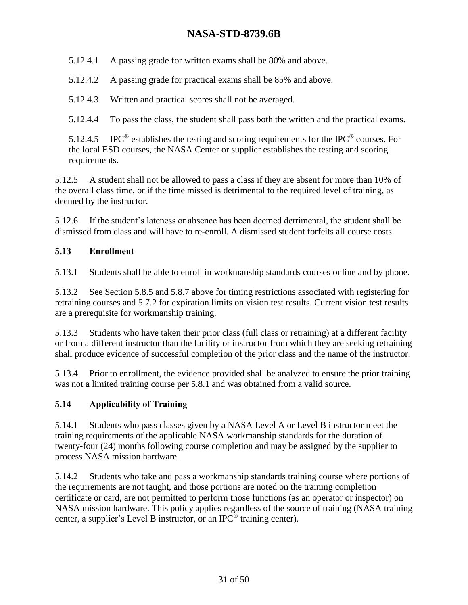5.12.4.1 A passing grade for written exams shall be 80% and above.

5.12.4.2 A passing grade for practical exams shall be 85% and above.

5.12.4.3 Written and practical scores shall not be averaged.

5.12.4.4 To pass the class, the student shall pass both the written and the practical exams.

5.12.4.5 IPC<sup>®</sup> establishes the testing and scoring requirements for the IPC<sup>®</sup> courses. For the local ESD courses, the NASA Center or supplier establishes the testing and scoring requirements.

5.12.5 A student shall not be allowed to pass a class if they are absent for more than 10% of the overall class time, or if the time missed is detrimental to the required level of training, as deemed by the instructor.

5.12.6 If the student's lateness or absence has been deemed detrimental, the student shall be dismissed from class and will have to re-enroll. A dismissed student forfeits all course costs.

#### <span id="page-30-0"></span>**5.13 Enrollment**

5.13.1 Students shall be able to enroll in workmanship standards courses online and by phone.

5.13.2 See Section [5.8.5](#page-22-2) and [5.8.7](#page-22-3) above for timing restrictions associated with registering for retraining courses and [5.7.2](#page-21-1) for expiration limits on vision test results. Current vision test results are a prerequisite for workmanship training.

5.13.3 Students who have taken their prior class (full class or retraining) at a different facility or from a different instructor than the facility or instructor from which they are seeking retraining shall produce evidence of successful completion of the prior class and the name of the instructor.

5.13.4 Prior to enrollment, the evidence provided shall be analyzed to ensure the prior training was not a limited training course per [5.8.1](#page-22-4) and was obtained from a valid source.

### <span id="page-30-1"></span>**5.14 Applicability of Training**

5.14.1 Students who pass classes given by a NASA Level A or Level B instructor meet the training requirements of the applicable NASA workmanship standards for the duration of twenty-four (24) months following course completion and may be assigned by the supplier to process NASA mission hardware.

5.14.2 Students who take and pass a workmanship standards training course where portions of the requirements are not taught, and those portions are noted on the training completion certificate or card, are not permitted to perform those functions (as an operator or inspector) on NASA mission hardware. This policy applies regardless of the source of training (NASA training center, a supplier's Level B instructor, or an IPC® training center).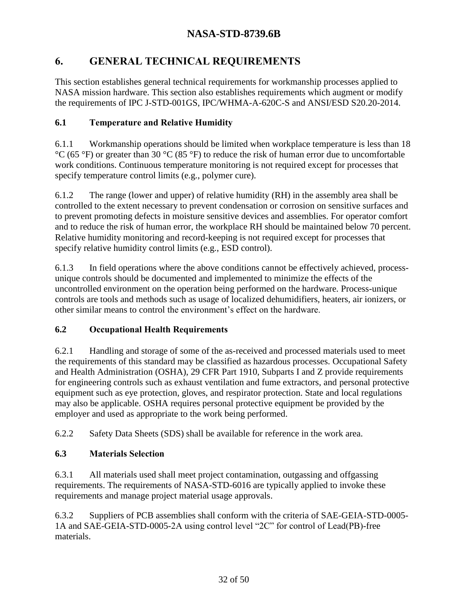# <span id="page-31-0"></span>**6. GENERAL TECHNICAL REQUIREMENTS**

This section establishes general technical requirements for workmanship processes applied to NASA mission hardware. This section also establishes requirements which augment or modify the requirements of IPC J-STD-001GS, IPC/WHMA-A-620C-S and ANSI/ESD S20.20-2014.

# <span id="page-31-1"></span>**6.1 Temperature and Relative Humidity**

6.1.1 Workmanship operations should be limited when workplace temperature is less than 18  $^{\circ}$ C (65  $^{\circ}$ F) or greater than 30  $^{\circ}$ C (85  $^{\circ}$ F) to reduce the risk of human error due to uncomfortable work conditions. Continuous temperature monitoring is not required except for processes that specify temperature control limits (e.g., polymer cure).

6.1.2 The range (lower and upper) of relative humidity (RH) in the assembly area shall be controlled to the extent necessary to prevent condensation or corrosion on sensitive surfaces and to prevent promoting defects in moisture sensitive devices and assemblies. For operator comfort and to reduce the risk of human error, the workplace RH should be maintained below 70 percent. Relative humidity monitoring and record-keeping is not required except for processes that specify relative humidity control limits (e.g., ESD control).

6.1.3 In field operations where the above conditions cannot be effectively achieved, processunique controls should be documented and implemented to minimize the effects of the uncontrolled environment on the operation being performed on the hardware. Process-unique controls are tools and methods such as usage of localized dehumidifiers, heaters, air ionizers, or other similar means to control the environment's effect on the hardware.

# <span id="page-31-2"></span>**6.2 Occupational Health Requirements**

6.2.1 Handling and storage of some of the as-received and processed materials used to meet the requirements of this standard may be classified as hazardous processes. Occupational Safety and Health Administration (OSHA), 29 CFR Part 1910, Subparts I and Z provide requirements for engineering controls such as exhaust ventilation and fume extractors, and personal protective equipment such as eye protection, gloves, and respirator protection. State and local regulations may also be applicable. OSHA requires personal protective equipment be provided by the employer and used as appropriate to the work being performed.

6.2.2 Safety Data Sheets (SDS) shall be available for reference in the work area.

# <span id="page-31-3"></span>**6.3 Materials Selection**

6.3.1 All materials used shall meet project contamination, outgassing and offgassing requirements. The requirements of NASA-STD-6016 are typically applied to invoke these requirements and manage project material usage approvals.

6.3.2 Suppliers of PCB assemblies shall conform with the criteria of SAE-GEIA-STD-0005- 1A and SAE-GEIA-STD-0005-2A using control level "2C" for control of Lead(PB)-free materials.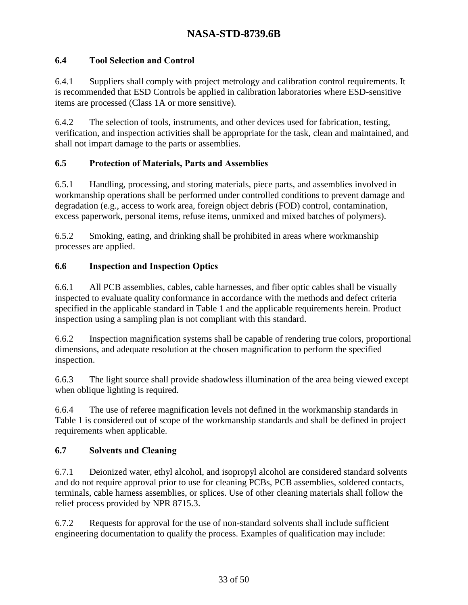### <span id="page-32-0"></span>**6.4 Tool Selection and Control**

6.4.1 Suppliers shall comply with project metrology and calibration control requirements. It is recommended that ESD Controls be applied in calibration laboratories where ESD-sensitive items are processed (Class 1A or more sensitive).

6.4.2 The selection of tools, instruments, and other devices used for fabrication, testing, verification, and inspection activities shall be appropriate for the task, clean and maintained, and shall not impart damage to the parts or assemblies.

#### <span id="page-32-1"></span>**6.5 Protection of Materials, Parts and Assemblies**

6.5.1 Handling, processing, and storing materials, piece parts, and assemblies involved in workmanship operations shall be performed under controlled conditions to prevent damage and degradation (e.g., access to work area, foreign object debris (FOD) control, contamination, excess paperwork, personal items, refuse items, unmixed and mixed batches of polymers).

6.5.2 Smoking, eating, and drinking shall be prohibited in areas where workmanship processes are applied.

#### <span id="page-32-2"></span>**6.6 Inspection and Inspection Optics**

6.6.1 All PCB assemblies, cables, cable harnesses, and fiber optic cables shall be visually inspected to evaluate quality conformance in accordance with the methods and defect criteria specified in the applicable standard in [Table 1](#page-6-3) and the applicable requirements herein. Product inspection using a sampling plan is not compliant with this standard.

6.6.2 Inspection magnification systems shall be capable of rendering true colors, proportional dimensions, and adequate resolution at the chosen magnification to perform the specified inspection.

6.6.3 The light source shall provide shadowless illumination of the area being viewed except when oblique lighting is required.

6.6.4 The use of referee magnification levels not defined in the workmanship standards in [Table 1](#page-6-3) is considered out of scope of the workmanship standards and shall be defined in project requirements when applicable.

#### <span id="page-32-3"></span>**6.7 Solvents and Cleaning**

6.7.1 Deionized water, ethyl alcohol, and isopropyl alcohol are considered standard solvents and do not require approval prior to use for cleaning PCBs, PCB assemblies, soldered contacts, terminals, cable harness assemblies, or splices. Use of other cleaning materials shall follow the relief process provided by NPR 8715.3.

6.7.2 Requests for approval for the use of non-standard solvents shall include sufficient engineering documentation to qualify the process. Examples of qualification may include: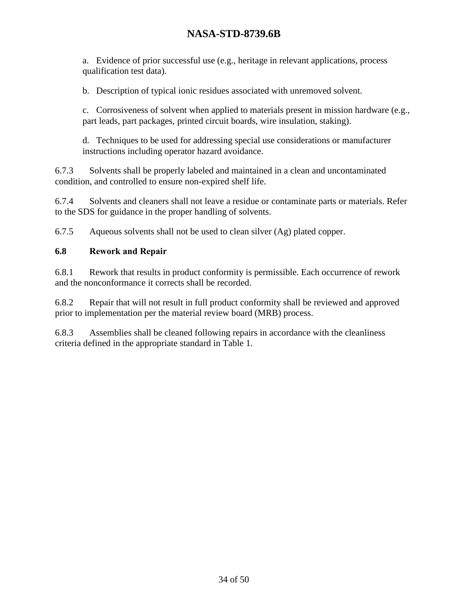a. Evidence of prior successful use (e.g., heritage in relevant applications, process qualification test data).

b. Description of typical ionic residues associated with unremoved solvent.

c. Corrosiveness of solvent when applied to materials present in mission hardware (e.g., part leads, part packages, printed circuit boards, wire insulation, staking).

d. Techniques to be used for addressing special use considerations or manufacturer instructions including operator hazard avoidance.

6.7.3 Solvents shall be properly labeled and maintained in a clean and uncontaminated condition, and controlled to ensure non-expired shelf life.

6.7.4 Solvents and cleaners shall not leave a residue or contaminate parts or materials. Refer to the SDS for guidance in the proper handling of solvents.

6.7.5 Aqueous solvents shall not be used to clean silver (Ag) plated copper.

#### <span id="page-33-0"></span>**6.8 Rework and Repair**

6.8.1 Rework that results in product conformity is permissible. Each occurrence of rework and the nonconformance it corrects shall be recorded.

6.8.2 Repair that will not result in full product conformity shall be reviewed and approved prior to implementation per the material review board (MRB) process.

<span id="page-33-1"></span>6.8.3 Assemblies shall be cleaned following repairs in accordance with the cleanliness criteria defined in the appropriate standard in [Table 1.](#page-6-3)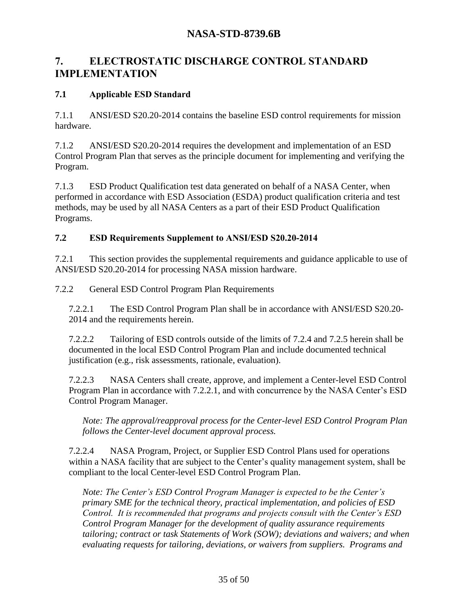# <span id="page-34-0"></span>**7. ELECTROSTATIC DISCHARGE CONTROL STANDARD IMPLEMENTATION**

### <span id="page-34-1"></span>**7.1 Applicable ESD Standard**

7.1.1 ANSI/ESD S20.20-2014 contains the baseline ESD control requirements for mission hardware.

7.1.2 ANSI/ESD S20.20-2014 requires the development and implementation of an ESD Control Program Plan that serves as the principle document for implementing and verifying the Program.

7.1.3 ESD Product Qualification test data generated on behalf of a NASA Center, when performed in accordance with ESD Association (ESDA) product qualification criteria and test methods, may be used by all NASA Centers as a part of their ESD Product Qualification Programs.

#### <span id="page-34-2"></span>**7.2 ESD Requirements Supplement to ANSI/ESD S20.20-2014**

7.2.1 This section provides the supplemental requirements and guidance applicable to use of ANSI/ESD S20.20-2014 for processing NASA mission hardware.

7.2.2 General ESD Control Program Plan Requirements

<span id="page-34-3"></span>7.2.2.1 The ESD Control Program Plan shall be in accordance with ANSI/ESD S20.20- 2014 and the requirements herein.

7.2.2.2 Tailoring of ESD controls outside of the limits of [7.2.4](#page-35-1) and [7.2.5](#page-38-0) herein shall be documented in the local ESD Control Program Plan and include documented technical justification (e.g., risk assessments, rationale, evaluation).

7.2.2.3 NASA Centers shall create, approve, and implement a Center-level ESD Control Program Plan in accordance with [7.2.2.1,](#page-34-3) and with concurrence by the NASA Center's ESD Control Program Manager.

*Note: The approval/reapproval process for the Center-level ESD Control Program Plan follows the Center-level document approval process.*

7.2.2.4 NASA Program, Project, or Supplier ESD Control Plans used for operations within a NASA facility that are subject to the Center's quality management system, shall be compliant to the local Center-level ESD Control Program Plan.

*Note: The Center's ESD Control Program Manager is expected to be the Center's primary SME for the technical theory, practical implementation, and policies of ESD Control. It is recommended that programs and projects consult with the Center's ESD Control Program Manager for the development of quality assurance requirements tailoring; contract or task Statements of Work (SOW); deviations and waivers; and when evaluating requests for tailoring, deviations, or waivers from suppliers. Programs and*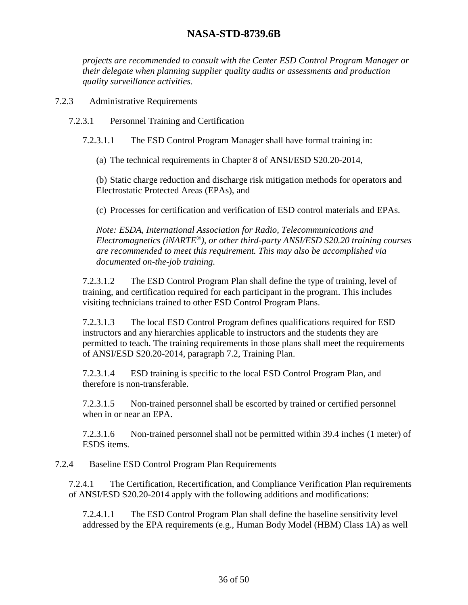*projects are recommended to consult with the Center ESD Control Program Manager or their delegate when planning supplier quality audits or assessments and production quality surveillance activities.*

7.2.3 Administrative Requirements

7.2.3.1 Personnel Training and Certification

7.2.3.1.1 The ESD Control Program Manager shall have formal training in:

(a) The technical requirements in Chapter 8 of ANSI/ESD S20.20-2014,

(b) Static charge reduction and discharge risk mitigation methods for operators and Electrostatic Protected Areas (EPAs), and

(c) Processes for certification and verification of ESD control materials and EPAs.

*Note: ESDA, International Association for Radio, Telecommunications and Electromagnetics (iNARTE®), or other third-party ANSI/ESD S20.20 training courses are recommended to meet this requirement. This may also be accomplished via documented on-the-job training.* 

<span id="page-35-0"></span>7.2.3.1.2 The ESD Control Program Plan shall define the type of training, level of training, and certification required for each participant in the program. This includes visiting technicians trained to other ESD Control Program Plans.

7.2.3.1.3 The local ESD Control Program defines qualifications required for ESD instructors and any hierarchies applicable to instructors and the students they are permitted to teach. The training requirements in those plans shall meet the requirements of ANSI/ESD S20.20-2014, paragraph 7.2, Training Plan.

7.2.3.1.4 ESD training is specific to the local ESD Control Program Plan, and therefore is non-transferable.

<span id="page-35-2"></span>7.2.3.1.5 Non-trained personnel shall be escorted by trained or certified personnel when in or near an EPA.

7.2.3.1.6 Non-trained personnel shall not be permitted within 39.4 inches (1 meter) of ESDS items.

<span id="page-35-1"></span>7.2.4 Baseline ESD Control Program Plan Requirements

7.2.4.1 The Certification, Recertification, and Compliance Verification Plan requirements of ANSI/ESD S20.20-2014 apply with the following additions and modifications:

7.2.4.1.1 The ESD Control Program Plan shall define the baseline sensitivity level addressed by the EPA requirements (e.g., Human Body Model (HBM) Class 1A) as well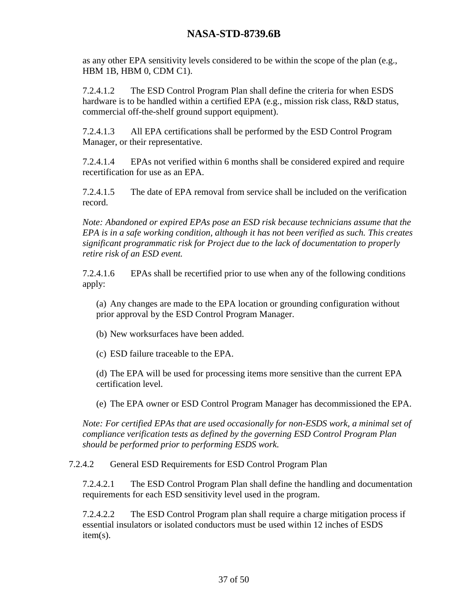as any other EPA sensitivity levels considered to be within the scope of the plan (e.g., HBM 1B, HBM 0, CDM C1).

7.2.4.1.2 The ESD Control Program Plan shall define the criteria for when ESDS hardware is to be handled within a certified EPA (e.g., mission risk class, R&D status, commercial off-the-shelf ground support equipment).

7.2.4.1.3 All EPA certifications shall be performed by the ESD Control Program Manager, or their representative.

<span id="page-36-0"></span>7.2.4.1.4 EPAs not verified within 6 months shall be considered expired and require recertification for use as an EPA.

7.2.4.1.5 The date of EPA removal from service shall be included on the verification record.

*Note: Abandoned or expired EPAs pose an ESD risk because technicians assume that the EPA is in a safe working condition, although it has not been verified as such. This creates significant programmatic risk for Project due to the lack of documentation to properly retire risk of an ESD event.*

7.2.4.1.6 EPAs shall be recertified prior to use when any of the following conditions apply:

(a) Any changes are made to the EPA location or grounding configuration without prior approval by the ESD Control Program Manager.

(b) New worksurfaces have been added.

(c) ESD failure traceable to the EPA.

(d) The EPA will be used for processing items more sensitive than the current EPA certification level.

(e) The EPA owner or ESD Control Program Manager has decommissioned the EPA.

*Note: For certified EPAs that are used occasionally for non-ESDS work, a minimal set of compliance verification tests as defined by the governing ESD Control Program Plan should be performed prior to performing ESDS work.*

7.2.4.2 General ESD Requirements for ESD Control Program Plan

7.2.4.2.1 The ESD Control Program Plan shall define the handling and documentation requirements for each ESD sensitivity level used in the program.

7.2.4.2.2 The ESD Control Program plan shall require a charge mitigation process if essential insulators or isolated conductors must be used within 12 inches of ESDS item(s).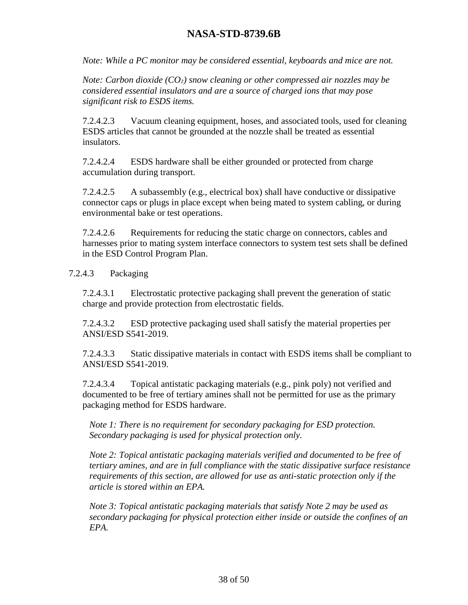*Note: While a PC monitor may be considered essential, keyboards and mice are not.*

*Note: Carbon dioxide (CO₂) snow cleaning or other compressed air nozzles may be considered essential insulators and are a source of charged ions that may pose significant risk to ESDS items.*

7.2.4.2.3 Vacuum cleaning equipment, hoses, and associated tools, used for cleaning ESDS articles that cannot be grounded at the nozzle shall be treated as essential insulators.

7.2.4.2.4 ESDS hardware shall be either grounded or protected from charge accumulation during transport.

7.2.4.2.5 A subassembly (e.g., electrical box) shall have conductive or dissipative connector caps or plugs in place except when being mated to system cabling, or during environmental bake or test operations.

7.2.4.2.6 Requirements for reducing the static charge on connectors, cables and harnesses prior to mating system interface connectors to system test sets shall be defined in the ESD Control Program Plan.

#### 7.2.4.3 Packaging

7.2.4.3.1 Electrostatic protective packaging shall prevent the generation of static charge and provide protection from electrostatic fields.

7.2.4.3.2 ESD protective packaging used shall satisfy the material properties per ANSI/ESD S541-2019.

7.2.4.3.3 Static dissipative materials in contact with ESDS items shall be compliant to ANSI/ESD S541-2019.

7.2.4.3.4 Topical antistatic packaging materials (e.g., pink poly) not verified and documented to be free of tertiary amines shall not be permitted for use as the primary packaging method for ESDS hardware.

*Note 1: There is no requirement for secondary packaging for ESD protection. Secondary packaging is used for physical protection only.* 

*Note 2: Topical antistatic packaging materials verified and documented to be free of tertiary amines, and are in full compliance with the static dissipative surface resistance requirements of this section, are allowed for use as anti-static protection only if the article is stored within an EPA.* 

*Note 3: Topical antistatic packaging materials that satisfy Note 2 may be used as secondary packaging for physical protection either inside or outside the confines of an EPA.*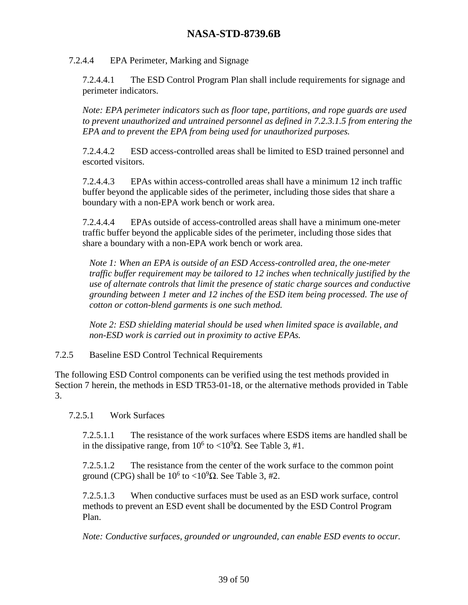#### 7.2.4.4 EPA Perimeter, Marking and Signage

7.2.4.4.1 The ESD Control Program Plan shall include requirements for signage and perimeter indicators.

*Note: EPA perimeter indicators such as floor tape, partitions, and rope guards are used to prevent unauthorized and untrained personnel as defined in [7.2.3.1.5](#page-35-2) from entering the EPA and to prevent the EPA from being used for unauthorized purposes.*

7.2.4.4.2 ESD access-controlled areas shall be limited to ESD trained personnel and escorted visitors.

7.2.4.4.3 EPAs within access-controlled areas shall have a minimum 12 inch traffic buffer beyond the applicable sides of the perimeter, including those sides that share a boundary with a non-EPA work bench or work area.

7.2.4.4.4 EPAs outside of access-controlled areas shall have a minimum one-meter traffic buffer beyond the applicable sides of the perimeter, including those sides that share a boundary with a non-EPA work bench or work area.

*Note 1: When an EPA is outside of an ESD Access-controlled area, the one-meter traffic buffer requirement may be tailored to 12 inches when technically justified by the use of alternate controls that limit the presence of static charge sources and conductive grounding between 1 meter and 12 inches of the ESD item being processed. The use of cotton or cotton-blend garments is one such method.*

*Note 2: ESD shielding material should be used when limited space is available, and non-ESD work is carried out in proximity to active EPAs.*

<span id="page-38-0"></span>7.2.5 Baseline ESD Control Technical Requirements

The following ESD Control components can be verified using the test methods provided in Section 7 herein, the methods in ESD TR53-01-18, or the alternative methods provided in [Table](#page-42-0)  [3.](#page-42-0)

7.2.5.1 Work Surfaces

7.2.5.1.1 The resistance of the work surfaces where ESDS items are handled shall be in the dissipative range, from  $10^6$  to  $\langle 10^9 \Omega$ . See [Table 3,](#page-42-0) #1.

7.2.5.1.2 The resistance from the center of the work surface to the common point ground (CPG) shall be  $10^6$  to < $10^9\Omega$ . See [Table 3,](#page-42-0) #2.

7.2.5.1.3 When conductive surfaces must be used as an ESD work surface, control methods to prevent an ESD event shall be documented by the ESD Control Program Plan.

*Note: Conductive surfaces, grounded or ungrounded, can enable ESD events to occur.*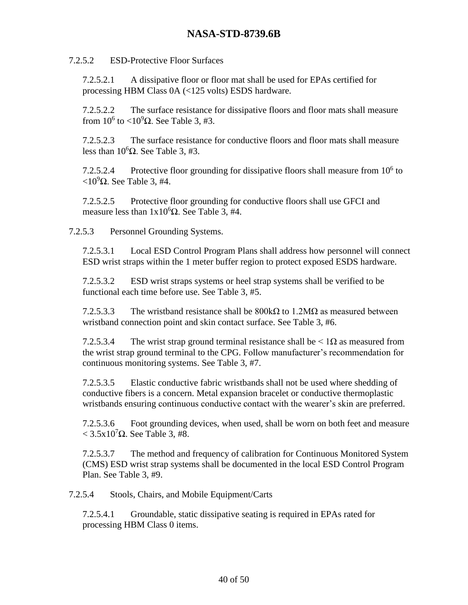#### 7.2.5.2 ESD-Protective Floor Surfaces

7.2.5.2.1 A dissipative floor or floor mat shall be used for EPAs certified for processing HBM Class 0A (<125 volts) ESDS hardware.

7.2.5.2.2 The surface resistance for dissipative floors and floor mats shall measure from  $10^6$  to  $\langle 10^9 \Omega$ . See [Table 3,](#page-42-0) #3.

7.2.5.2.3 The surface resistance for conductive floors and floor mats shall measure less than  $10^6\Omega$ . See [Table 3,](#page-42-0) #3.

7.2.5.2.4 Protective floor grounding for dissipative floors shall measure from  $10<sup>6</sup>$  to  $\langle 10^9$ Ω. See [Table 3,](#page-42-0) #4.

7.2.5.2.5 Protective floor grounding for conductive floors shall use GFCI and measure less than  $1x10<sup>6</sup>\Omega$ . See [Table 3,](#page-42-0) #4.

7.2.5.3 Personnel Grounding Systems.

7.2.5.3.1 Local ESD Control Program Plans shall address how personnel will connect ESD wrist straps within the 1 meter buffer region to protect exposed ESDS hardware.

7.2.5.3.2 ESD wrist straps systems or heel strap systems shall be verified to be functional each time before use. See [Table 3,](#page-42-0) #5.

7.2.5.3.3 The wristband resistance shall be  $800\text{k}\Omega$  to 1.2M $\Omega$  as measured between wristband connection point and skin contact surface. See [Table 3,](#page-42-0) #6.

7.2.5.3.4 The wrist strap ground terminal resistance shall be  $\leq 1\Omega$  as measured from the wrist strap ground terminal to the CPG. Follow manufacturer's recommendation for continuous monitoring systems. See [Table 3,](#page-42-0) #7.

7.2.5.3.5 Elastic conductive fabric wristbands shall not be used where shedding of conductive fibers is a concern. Metal expansion bracelet or conductive thermoplastic wristbands ensuring continuous conductive contact with the wearer's skin are preferred.

7.2.5.3.6 Foot grounding devices, when used, shall be worn on both feet and measure  $<$  3.5x10<sup>7</sup> $\Omega$ . See [Table 3,](#page-42-0) #8.

7.2.5.3.7 The method and frequency of calibration for Continuous Monitored System (CMS) ESD wrist strap systems shall be documented in the local ESD Control Program Plan. See [Table 3,](#page-42-0) #9.

7.2.5.4 Stools, Chairs, and Mobile Equipment/Carts

7.2.5.4.1 Groundable, static dissipative seating is required in EPAs rated for processing HBM Class 0 items.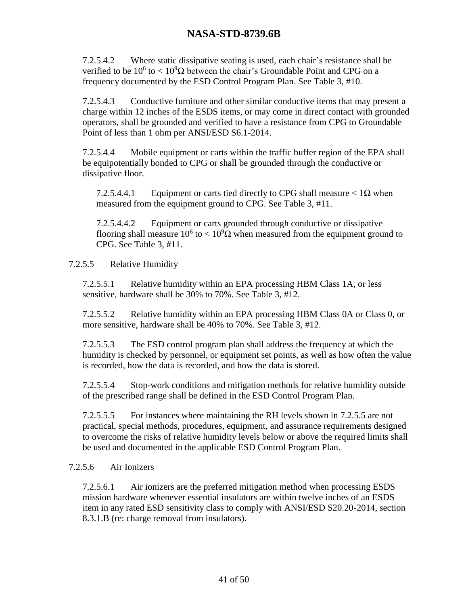7.2.5.4.2 Where static dissipative seating is used, each chair's resistance shall be verified to be  $10^6$  to  $< 10^9\Omega$  between the chair's Groundable Point and CPG on a frequency documented by the ESD Control Program Plan. See [Table 3,](#page-42-0) #10.

7.2.5.4.3 Conductive furniture and other similar conductive items that may present a charge within 12 inches of the ESDS items, or may come in direct contact with grounded operators, shall be grounded and verified to have a resistance from CPG to Groundable Point of less than 1 ohm per ANSI/ESD S6.1-2014.

7.2.5.4.4 Mobile equipment or carts within the traffic buffer region of the EPA shall be equipotentially bonded to CPG or shall be grounded through the conductive or dissipative floor.

7.2.5.4.4.1 Equipment or carts tied directly to CPG shall measure  $\leq 1\Omega$  when measured from the equipment ground to CPG. See [Table 3,](#page-42-0) #11.

7.2.5.4.4.2 Equipment or carts grounded through conductive or dissipative flooring shall measure  $10^6$  to  $< 10^9\Omega$  when measured from the equipment ground to CPG. See [Table 3,](#page-42-0) #11.

<span id="page-40-0"></span>7.2.5.5 Relative Humidity

7.2.5.5.1 Relative humidity within an EPA processing HBM Class 1A, or less sensitive, hardware shall be 30% to 70%. See [Table 3,](#page-42-0) #12.

7.2.5.5.2 Relative humidity within an EPA processing HBM Class 0A or Class 0, or more sensitive, hardware shall be 40% to 70%. See [Table 3,](#page-42-0) #12.

7.2.5.5.3 The ESD control program plan shall address the frequency at which the humidity is checked by personnel, or equipment set points, as well as how often the value is recorded, how the data is recorded, and how the data is stored.

7.2.5.5.4 Stop-work conditions and mitigation methods for relative humidity outside of the prescribed range shall be defined in the ESD Control Program Plan.

7.2.5.5.5 For instances where maintaining the RH levels shown in [7.2.5.5](#page-40-0) are not practical, special methods, procedures, equipment, and assurance requirements designed to overcome the risks of relative humidity levels below or above the required limits shall be used and documented in the applicable ESD Control Program Plan.

#### 7.2.5.6 Air Ionizers

7.2.5.6.1 Air ionizers are the preferred mitigation method when processing ESDS mission hardware whenever essential insulators are within twelve inches of an ESDS item in any rated ESD sensitivity class to comply with ANSI/ESD S20.20-2014, section 8.3.1.B (re: charge removal from insulators).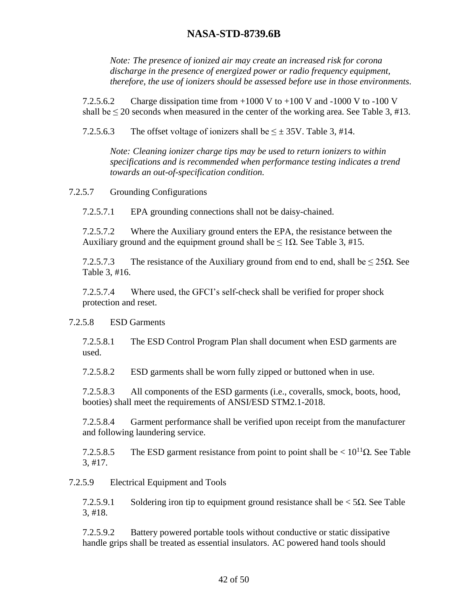*Note: The presence of ionized air may create an increased risk for corona discharge in the presence of energized power or radio frequency equipment, therefore, the use of ionizers should be assessed before use in those environments.*

7.2.5.6.2 Charge dissipation time from  $+1000 \text{ V}$  to  $+100 \text{ V}$  and  $-1000 \text{ V}$  to  $-100 \text{ V}$ shall be  $\leq$  20 seconds when measured in the center of the working area. See [Table 3,](#page-42-0) #13.

7.2.5.6.3 The offset voltage of ionizers shall be  $\leq \pm 35V$ . [Table 3,](#page-42-0) #14.

*Note: Cleaning ionizer charge tips may be used to return ionizers to within specifications and is recommended when performance testing indicates a trend towards an out-of-specification condition.*

7.2.5.7 Grounding Configurations

7.2.5.7.1 EPA grounding connections shall not be daisy-chained.

7.2.5.7.2 Where the Auxiliary ground enters the EPA, the resistance between the Auxiliary ground and the equipment ground shall be  $\leq 1\Omega$ . See [Table 3,](#page-42-0) #15.

7.2.5.7.3 The resistance of the Auxiliary ground from end to end, shall be  $\leq 25\Omega$ . See [Table 3,](#page-42-0) #16.

7.2.5.7.4 Where used, the GFCI's self-check shall be verified for proper shock protection and reset.

#### 7.2.5.8 ESD Garments

7.2.5.8.1 The ESD Control Program Plan shall document when ESD garments are used.

7.2.5.8.2 ESD garments shall be worn fully zipped or buttoned when in use.

7.2.5.8.3 All components of the ESD garments (i.e., coveralls, smock, boots, hood, booties) shall meet the requirements of ANSI/ESD STM2.1-2018.

7.2.5.8.4 Garment performance shall be verified upon receipt from the manufacturer and following laundering service.

7.2.5.8.5 The ESD garment resistance from point to point shall be  $\langle 10^{11} \Omega$ . See Table [3,](#page-42-0) #17.

#### 7.2.5.9 Electrical Equipment and Tools

7.2.5.9.1 Soldering iron tip to equipment ground resistance shall be  $\lt 5\Omega$ . See Table [3,](#page-42-0) #18.

7.2.5.9.2 Battery powered portable tools without conductive or static dissipative handle grips shall be treated as essential insulators. AC powered hand tools should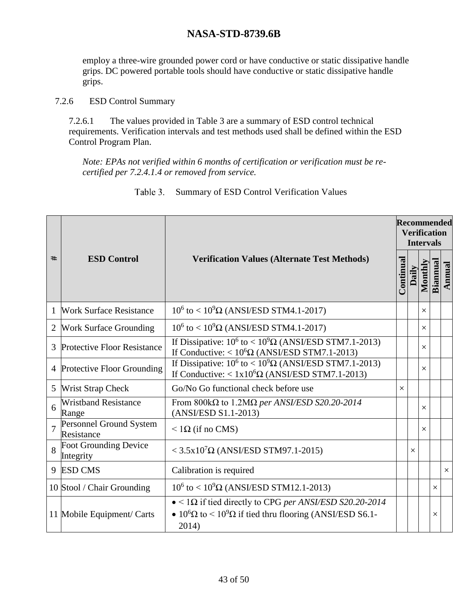employ a three-wire grounded power cord or have conductive or static dissipative handle grips. DC powered portable tools should have conductive or static dissipative handle grips.

7.2.6 ESD Control Summary

7.2.6.1 The values provided in [Table 3](#page-42-0) are a summary of ESD control technical requirements. Verification intervals and test methods used shall be defined within the ESD Control Program Plan.

*Note: EPAs not verified within 6 months of certification or verification must be recertified per [7.2.4.1.4](#page-36-0) or removed from service.*

<span id="page-42-0"></span>

|                |                                                                                                                                                           |                                                                                                                                                            |          | <b>Recommended</b><br><b>Verification</b><br><b>Intervals</b> |                  |          |          |  |
|----------------|-----------------------------------------------------------------------------------------------------------------------------------------------------------|------------------------------------------------------------------------------------------------------------------------------------------------------------|----------|---------------------------------------------------------------|------------------|----------|----------|--|
| #              | <b>ESD Control</b>                                                                                                                                        | <b>Verification Values (Alternate Test Methods)</b>                                                                                                        |          |                                                               | Monthly<br>Daily | Biannual | Annual   |  |
| 1              | <b>Work Surface Resistance</b>                                                                                                                            | $10^6$ to < $10^9\Omega$ (ANSI/ESD STM4.1-2017)                                                                                                            |          |                                                               | $\times$         |          |          |  |
| 2              | <b>Work Surface Grounding</b>                                                                                                                             | $10^6$ to < $10^9\Omega$ (ANSI/ESD STM4.1-2017)                                                                                                            |          |                                                               | $\times$         |          |          |  |
|                | <b>Protective Floor Resistance</b>                                                                                                                        | If Dissipative: $10^6$ to < $10^9\Omega$ (ANSI/ESD STM7.1-2013)<br>If Conductive: $< 10^{6} \Omega$ (ANSI/ESD STM7.1-2013)                                 |          |                                                               | $\times$         |          |          |  |
| 4              | If Dissipative: $10^6$ to < $10^9\Omega$ (ANSI/ESD STM7.1-2013)<br>Protective Floor Grounding<br>If Conductive: $< 1x10^{6}\Omega$ (ANSI/ESD STM7.1-2013) |                                                                                                                                                            |          |                                                               | $\times$         |          |          |  |
| 5              | Go/No Go functional check before use<br><b>Wrist Strap Check</b>                                                                                          |                                                                                                                                                            | $\times$ |                                                               |                  |          |          |  |
| 6              | <b>Wristband Resistance</b><br>From 800k $\Omega$ to 1.2M $\Omega$ per ANSI/ESD S20.20-2014<br>(ANSI/ESD S1.1-2013)<br>Range                              |                                                                                                                                                            |          |                                                               | $\times$         |          |          |  |
| $\overline{7}$ | Personnel Ground System<br>Resistance                                                                                                                     | $<$ 1 $\Omega$ (if no CMS)                                                                                                                                 |          |                                                               | $\times$         |          |          |  |
| 8              | Foot Grounding Device<br>Integrity                                                                                                                        | $<$ 3.5x10 <sup>7</sup> $\Omega$ (ANSI/ESD STM97.1-2015)                                                                                                   |          | $\times$                                                      |                  |          |          |  |
| 9              | <b>ESD CMS</b><br>Calibration is required                                                                                                                 |                                                                                                                                                            |          |                                                               |                  |          | $\times$ |  |
|                | 10 Stool / Chair Grounding                                                                                                                                | $10^6$ to < $10^9\Omega$ (ANSI/ESD STM12.1-2013)                                                                                                           |          |                                                               |                  | $\times$ |          |  |
|                | 11 Mobile Equipment/ Carts                                                                                                                                | $\bullet$ < 1 $\Omega$ if tied directly to CPG per ANSI/ESD S20.20-2014<br>• $10^6\Omega$ to < $10^9\Omega$ if tied thru flooring (ANSI/ESD S6.1-<br>2014) |          |                                                               |                  | $\times$ |          |  |

#### Summary of ESD Control Verification Values Table 3.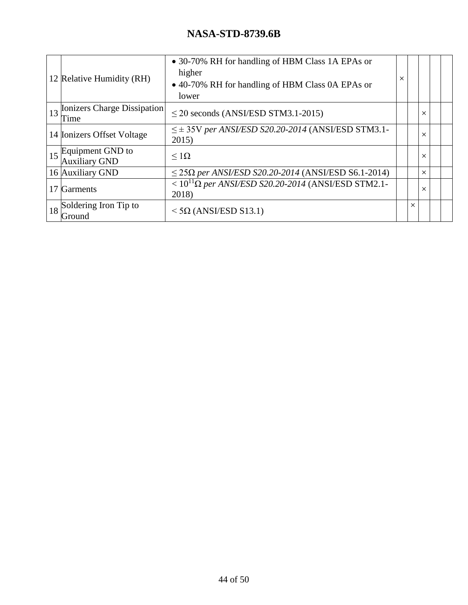|                           |                                | • 30-70% RH for handling of HBM Class 1A EPAs or                 |          |   |          |  |
|---------------------------|--------------------------------|------------------------------------------------------------------|----------|---|----------|--|
| 12 Relative Humidity (RH) |                                | higher                                                           | $\times$ |   |          |  |
|                           |                                | • 40-70% RH for handling of HBM Class 0A EPAs or                 |          |   |          |  |
|                           |                                | lower                                                            |          |   |          |  |
|                           | 13 Ionizers Charge Dissipation | $\leq$ 20 seconds (ANSI/ESD STM3.1-2015)                         |          |   | X        |  |
|                           | Time                           |                                                                  |          |   |          |  |
|                           | 14 Ionizers Offset Voltage     | $\leq \pm 35$ V per ANSI/ESD S20.20-2014 (ANSI/ESD STM3.1-       |          |   | X        |  |
|                           |                                | 2015)                                                            |          |   |          |  |
|                           | 15 Equipment GND to            | $\leq$ 1 $\Omega$                                                |          |   | $\times$ |  |
|                           | <b>Auxiliary GND</b>           |                                                                  |          |   |          |  |
|                           | 16 Auxiliary GND               | $\leq$ 25 $\Omega$ per ANSI/ESD S20.20-2014 (ANSI/ESD S6.1-2014) |          |   | X        |  |
|                           |                                | $< 10^{11} \Omega$ per ANSI/ESD S20.20-2014 (ANSI/ESD STM2.1-    |          |   |          |  |
|                           | 17 Garments                    | 2018)                                                            |          |   | X        |  |
| 18                        | Soldering Iron Tip to          |                                                                  |          | X |          |  |
|                           | Ground                         | $<$ 5 $\Omega$ (ANSI/ESD S13.1)                                  |          |   |          |  |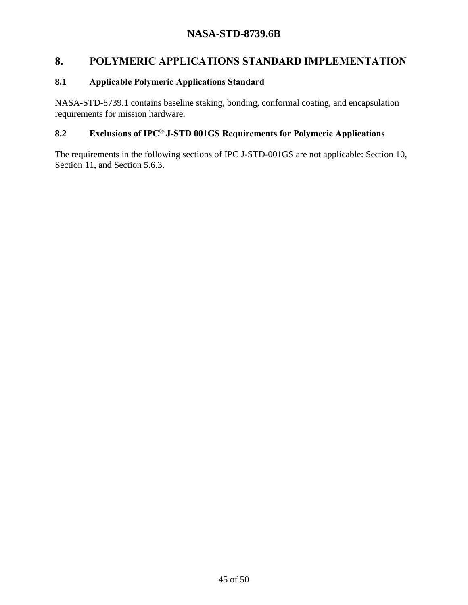# <span id="page-44-0"></span>**8. POLYMERIC APPLICATIONS STANDARD IMPLEMENTATION**

#### <span id="page-44-1"></span>**8.1 Applicable Polymeric Applications Standard**

NASA-STD-8739.1 contains baseline staking, bonding, conformal coating, and encapsulation requirements for mission hardware.

# <span id="page-44-2"></span>**8.2 Exclusions of IPC® J-STD 001GS Requirements for Polymeric Applications**

The requirements in the following sections of IPC J-STD-001GS are not applicable: Section 10, Section 11, and Section 5.6.3.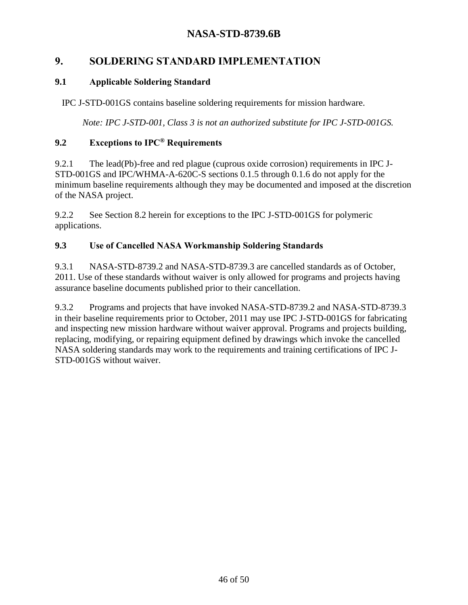# <span id="page-45-0"></span>**9. SOLDERING STANDARD IMPLEMENTATION**

#### <span id="page-45-1"></span>**9.1 Applicable Soldering Standard**

IPC J-STD-001GS contains baseline soldering requirements for mission hardware.

*Note: IPC J-STD-001, Class 3 is not an authorized substitute for IPC J-STD-001GS.*

#### <span id="page-45-2"></span>**9.2 Exceptions to IPC® Requirements**

9.2.1 The lead(Pb)-free and red plague (cuprous oxide corrosion) requirements in IPC J-STD-001GS and IPC/WHMA-A-620C-S sections 0.1.5 through 0.1.6 do not apply for the minimum baseline requirements although they may be documented and imposed at the discretion of the NASA project.

9.2.2 See Section [8.2](#page-44-2) herein for exceptions to the IPC J-STD-001GS for polymeric applications.

#### <span id="page-45-3"></span>**9.3 Use of Cancelled NASA Workmanship Soldering Standards**

9.3.1 NASA-STD-8739.2 and NASA-STD-8739.3 are cancelled standards as of October, 2011. Use of these standards without waiver is only allowed for programs and projects having assurance baseline documents published prior to their cancellation.

<span id="page-45-4"></span>9.3.2 Programs and projects that have invoked NASA-STD-8739.2 and NASA-STD-8739.3 in their baseline requirements prior to October, 2011 may use IPC J-STD-001GS for fabricating and inspecting new mission hardware without waiver approval. Programs and projects building, replacing, modifying, or repairing equipment defined by drawings which invoke the cancelled NASA soldering standards may work to the requirements and training certifications of IPC J-STD-001GS without waiver.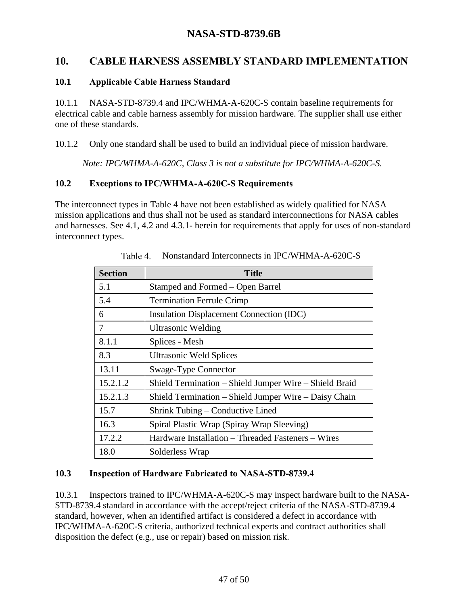# <span id="page-46-0"></span>**10. CABLE HARNESS ASSEMBLY STANDARD IMPLEMENTATION**

#### <span id="page-46-1"></span>**10.1 Applicable Cable Harness Standard**

10.1.1 NASA-STD-8739.4 and IPC/WHMA-A-620C-S contain baseline requirements for electrical cable and cable harness assembly for mission hardware. The supplier shall use either one of these standards.

10.1.2 Only one standard shall be used to build an individual piece of mission hardware.

*Note: IPC/WHMA-A-620C, Class 3 is not a substitute for IPC/WHMA-A-620C-S.*

#### <span id="page-46-2"></span>**10.2 Exceptions to IPC/WHMA-A-620C-S Requirements**

The interconnect types in [Table 4](#page-46-4) have not been established as widely qualified for NASA mission applications and thus shall not be used as standard interconnections for NASA cables and harnesses. See [4.1,](#page-15-1) [4.2](#page-15-2) and [4.3.1-](#page-16-1) herein for requirements that apply for uses of non-standard interconnect types.

<span id="page-46-4"></span>

| <b>Section</b> | <b>Title</b>                                           |  |  |
|----------------|--------------------------------------------------------|--|--|
| 5.1            | Stamped and Formed - Open Barrel                       |  |  |
| 5.4            | <b>Termination Ferrule Crimp</b>                       |  |  |
| 6              | <b>Insulation Displacement Connection (IDC)</b>        |  |  |
| 7              | <b>Ultrasonic Welding</b>                              |  |  |
| 8.1.1          | Splices - Mesh                                         |  |  |
| 8.3            | <b>Ultrasonic Weld Splices</b>                         |  |  |
| 13.11          | Swage-Type Connector                                   |  |  |
| 15.2.1.2       | Shield Termination - Shield Jumper Wire - Shield Braid |  |  |
| 15.2.1.3       | Shield Termination – Shield Jumper Wire – Daisy Chain  |  |  |
| 15.7           | Shrink Tubing – Conductive Lined                       |  |  |
| 16.3           | Spiral Plastic Wrap (Spiray Wrap Sleeving)             |  |  |
| 17.2.2         | Hardware Installation – Threaded Fasteners – Wires     |  |  |
| 18.0           | Solderless Wrap                                        |  |  |

Table 4. Nonstandard Interconnects in IPC/WHMA-A-620C-S

#### <span id="page-46-3"></span>**10.3 Inspection of Hardware Fabricated to NASA-STD-8739.4**

10.3.1 Inspectors trained to IPC/WHMA-A-620C-S may inspect hardware built to the NASA-STD-8739.4 standard in accordance with the accept/reject criteria of the NASA-STD-8739.4 standard, however, when an identified artifact is considered a defect in accordance with IPC/WHMA-A-620C-S criteria, authorized technical experts and contract authorities shall disposition the defect (e.g., use or repair) based on mission risk.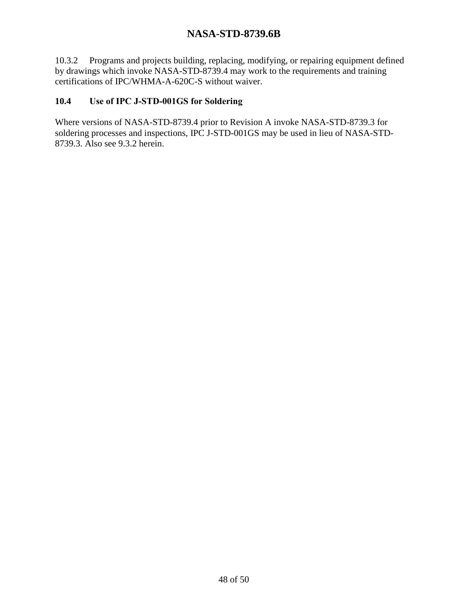10.3.2 Programs and projects building, replacing, modifying, or repairing equipment defined by drawings which invoke NASA-STD-8739.4 may work to the requirements and training certifications of IPC/WHMA-A-620C-S without waiver.

#### <span id="page-47-0"></span>**10.4 Use of IPC J-STD-001GS for Soldering**

Where versions of NASA-STD-8739.4 prior to Revision A invoke NASA-STD-8739.3 for soldering processes and inspections, IPC J-STD-001GS may be used in lieu of NASA-STD-8739.3. Also see [9.3.2](#page-45-4) herein.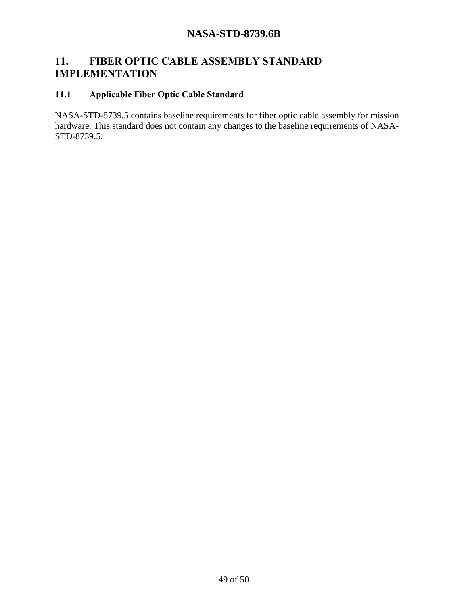# <span id="page-48-0"></span>**11. FIBER OPTIC CABLE ASSEMBLY STANDARD IMPLEMENTATION**

### <span id="page-48-1"></span>**11.1 Applicable Fiber Optic Cable Standard**

NASA-STD-8739.5 contains baseline requirements for fiber optic cable assembly for mission hardware. This standard does not contain any changes to the baseline requirements of NASA-STD-8739.5.